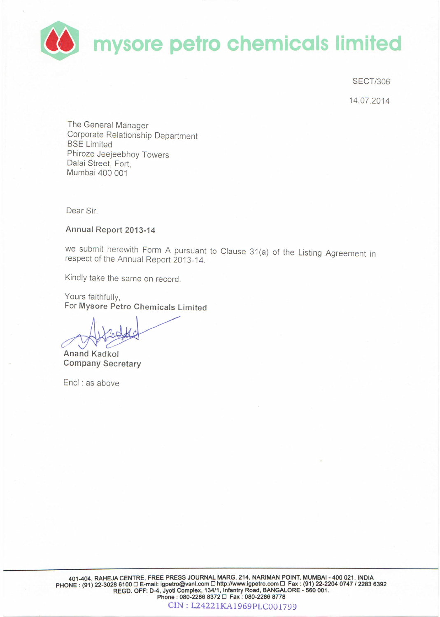

**SECT/306** 

14.07.2014

The General Manager Corporate Relationship Department **BSE Limited** Phiroze Jeejeebhoy Towers Dalai Street, Fort. Mumbai 400 001

Dear Sir.

Annual Report 2013-14

we submit herewith Form A pursuant to Clause 31(a) of the Listing Agreement in respect of the Annual Report 2013-14.

Kindly take the same on record.

Yours faithfully, For Mysore Petro Chemicals Limited

**Anand Kadkol Company Secretary** 

Encl : as above

CIN: L24221KA1969PLC001799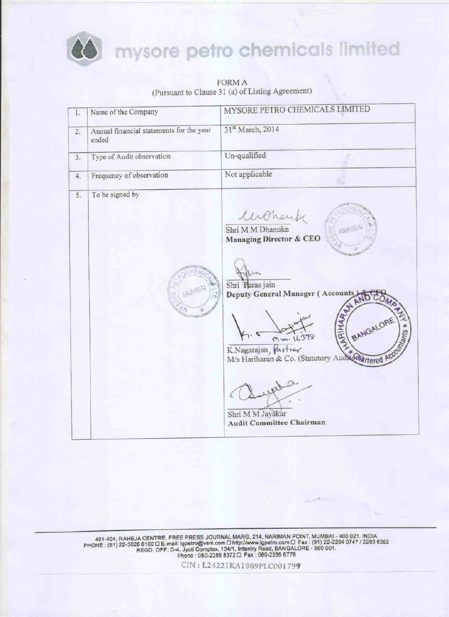

# mysore petro chemicals limited

**FORM A** (Pursuant to Clause 31 (a) of Listing Agreement)

| 1. | Name of the Company                               | MYSORE PETRO CHEMICALS LIMITED                                                                         |
|----|---------------------------------------------------|--------------------------------------------------------------------------------------------------------|
| 2. | Annual financial statements for the year<br>ended | 31st March, 2014                                                                                       |
| 3. | Type of Audit observation                         | Un-qualified                                                                                           |
| 4. | Frequency of observation                          | Not applicable                                                                                         |
| 5. | To be signed by                                   | luthere<br>MUMBA<br>Shri M M Dhanuka<br><b>Managing Director &amp; CEO</b>                             |
|    |                                                   | Not-<br>Shri Paras jain<br>Deputy General Manager (Accounts)<br>ARIHAR NAMES<br>BANGALORE<br>A * Suley |
|    |                                                   | M-00. 16398<br>K.Nagarajan, Partner<br>M/s Hariharan & Co. (Statutory Audit Ghartered Acco             |
|    |                                                   | Shri M M Jayakar<br><b>Audit Committee Chairman</b>                                                    |

401-404, RAHEJA CENTRE, FREE PRESS JOURNAL MARG, 214, NARIMAN POINT, MUMBAI - 400 021, INDIA<br>PHONE : (91) 22-3028 6100 D E-mail: igpetro@vsnl.com D Hunty/www.igpetro.com D Fax : (91) 22-2204 0747 / 2283 6392<br>REGD. OFF: D-4

CIN: L24221KA1969PLC001799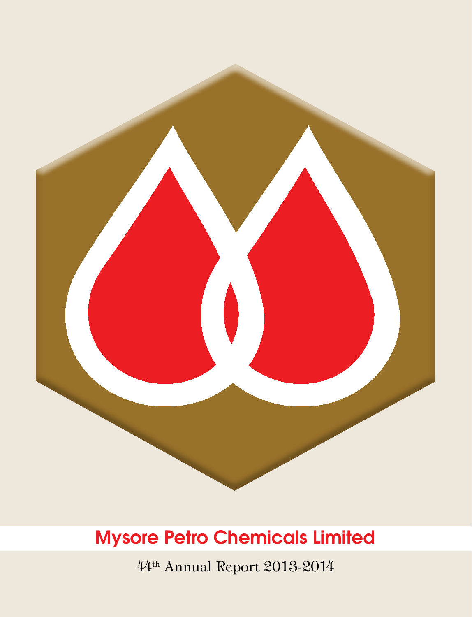

44th Annual Report 2013-2014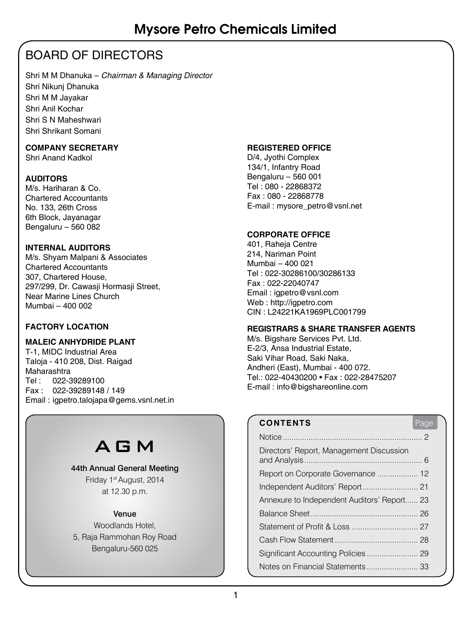### BOARD OF DIRECTORS

Shri M M Dhanuka – *Chairman & Managing Director* Shri Nikunj Dhanuka Shri M M Jayakar Shri Anil Kochar Shri S N Maheshwari Shri Shrikant Somani

### **COMPANY SECRETARY**

Shri Anand Kadkol

### **AUDITORS**

M/s. Hariharan & Co. Chartered Accountants No. 133, 26th Cross 6th Block, Jayanagar Bengaluru – 560 082

### **INTERNAL AUDITORS**

M/s. Shyam Malpani & Associates Chartered Accountants 307, Chartered House, 297/299, Dr. Cawasji Hormasji Street, Near Marine Lines Church Mumbai – 400 002

### **FACTORY LOCATION**

### **MALEIC ANHYDRIDE Plant**

T-1, MIDC Industrial Area Taloja - 410 208, Dist. Raigad Maharashtra Tel : 022-39289100 Fax : 022-39289148 / 149 Email : igpetro.talojapa@gems.vsnl.net.in

## AGM

#### 44th Annual General Meeting

Friday 1st August, 2014 at 12.30 p.m.

### Venue

Woodlands Hotel, 5, Raja Rammohan Roy Road Bengaluru-560 025

### **REGISTERED OFFICE**

D/4, Jyothi Complex 134/1, Infantry Road Bengaluru – 560 001 Tel : 080 - 22868372 Fax : 080 - 22868778 E-mail : mysore\_petro@vsnl.net

### **CORPORATE OFFICE**

401, Raheja Centre 214, Nariman Point Mumbai – 400 021 Tel : 022-30286100/30286133 Fax : 022-22040747 Email : igpetro@vsnl.com Web : http://igpetro.com CIN : L24221KA1969PLC001799

### **REGISTRARS & SHARE TRANSFER AGENTS**

M/s. Bigshare Services Pvt. Ltd. E-2/3, Ansa Industrial Estate, Saki Vihar Road, Saki Naka, Andheri (East), Mumbai - 400 072. Tel.: 022-40430200 • Fax : 022-28475207 E-mail : info@bigshareonline.com

### **CONTENTS** Page

| Directors' Report, Management Discussion    |  |
|---------------------------------------------|--|
| Report on Corporate Governance  12          |  |
|                                             |  |
| Annexure to Independent Auditors' Report 23 |  |
|                                             |  |
|                                             |  |
|                                             |  |
| Significant Accounting Policies 29          |  |
|                                             |  |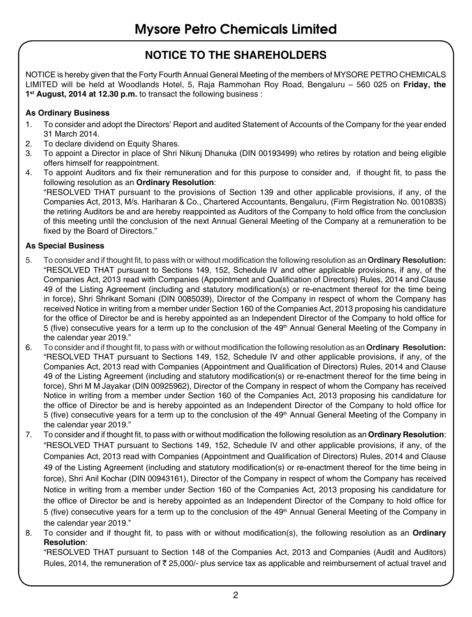### **NOTICE TO THE SHAREHOLDERS**

NOTICE is hereby given that the Forty Fourth Annual General Meeting of the members of MYSORE PETRO CHEMICALS LIMITED will be held at Woodlands Hotel, 5, Raja Rammohan Roy Road, Bengaluru – 560 025 on **Friday, the 1st August, 2014 at 12.30 p.m.** to transact the following business :

### **As Ordinary Business**

- 1. To consider and adopt the Directors' Report and audited Statement of Accounts of the Company for the year ended 31 March 2014.
- 2. To declare dividend on Equity Shares.
- 3. To appoint a Director in place of Shri Nikunj Dhanuka (DIN 00193499) who retires by rotation and being eligible offers himself for reappointment.
- 4. To appoint Auditors and fix their remuneration and for this purpose to consider and, if thought fit, to pass the following resolution as an **Ordinary Resolution**:

"RESOLVED THAT pursuant to the provisions of Section 139 and other applicable provisions, if any, of the Companies Act, 2013, M/s. Hariharan & Co., Chartered Accountants, Bengaluru, (Firm Registration No. 001083S) the retiring Auditors be and are hereby reappointed as Auditors of the Company to hold office from the conclusion of this meeting until the conclusion of the next Annual General Meeting of the Company at a remuneration to be fixed by the Board of Directors."

### **As Special Business**

- 5. To consider and if thought fit, to pass with or without modification the following resolution as an **Ordinary Resolution:** "RESOLVED THAT pursuant to Sections 149, 152, Schedule IV and other applicable provisions, if any, of the Companies Act, 2013 read with Companies (Appointment and Qualification of Directors) Rules, 2014 and Clause 49 of the Listing Agreement (including and statutory modification(s) or re-enactment thereof for the time being in force), Shri Shrikant Somani (DIN 0085039), Director of the Company in respect of whom the Company has received Notice in writing from a member under Section 160 of the Companies Act, 2013 proposing his candidature for the office of Director be and is hereby appointed as an Independent Director of the Company to hold office for 5 (five) consecutive years for a term up to the conclusion of the 49<sup>th</sup> Annual General Meeting of the Company in the calendar year 2019."
- 6. To consider and if thought fit, to pass with or without modification the following resolution as an **Ordinary Resolution:** "RESOLVED THAT pursuant to Sections 149, 152, Schedule IV and other applicable provisions, if any, of the Companies Act, 2013 read with Companies (Appointment and Qualification of Directors) Rules, 2014 and Clause 49 of the Listing Agreement (including and statutory modification(s) or re-enactment thereof for the time being in force), Shri M M Jayakar (DIN 00925962), Director of the Company in respect of whom the Company has received Notice in writing from a member under Section 160 of the Companies Act, 2013 proposing his candidature for the office of Director be and is hereby appointed as an Independent Director of the Company to hold office for 5 (five) consecutive years for a term up to the conclusion of the 49<sup>th</sup> Annual General Meeting of the Company in the calendar year 2019."
- 7. To consider and if thought fit, to pass with or without modification the following resolution as an **Ordinary Resolution**: "RESOLVED THAT pursuant to Sections 149, 152, Schedule IV and other applicable provisions, if any, of the Companies Act, 2013 read with Companies (Appointment and Qualification of Directors) Rules, 2014 and Clause 49 of the Listing Agreement (including and statutory modification(s) or re-enactment thereof for the time being in force), Shri Anil Kochar (DIN 00943161), Director of the Company in respect of whom the Company has received Notice in writing from a member under Section 160 of the Companies Act, 2013 proposing his candidature for the office of Director be and is hereby appointed as an Independent Director of the Company to hold office for 5 (five) consecutive years for a term up to the conclusion of the 49<sup>th</sup> Annual General Meeting of the Company in the calendar year 2019."
- 8. To consider and if thought fit, to pass with or without modification(s), the following resolution as an **Ordinary Resolution**:

"RESOLVED THAT pursuant to Section 148 of the Companies Act, 2013 and Companies (Audit and Auditors) Rules, 2014, the remuneration of  $\bar{\tau}$  25,000/- plus service tax as applicable and reimbursement of actual travel and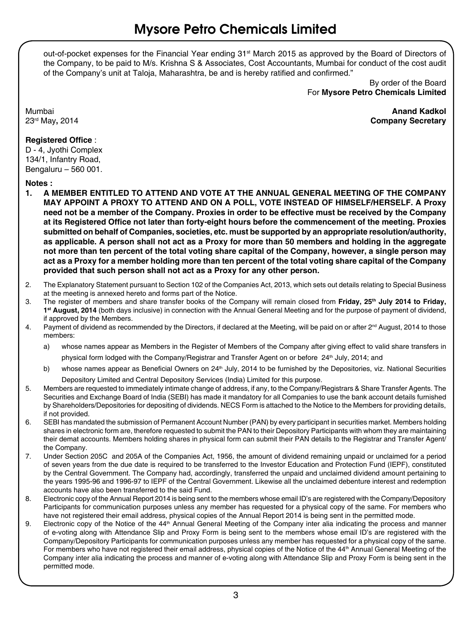out-of-pocket expenses for the Financial Year ending 31<sup>st</sup> March 2015 as approved by the Board of Directors of the Company, to be paid to M/s. Krishna S & Associates, Cost Accountants, Mumbai for conduct of the cost audit of the Company's unit at Taloja, Maharashtra, be and is hereby ratified and confirmed."

> By order of the Board For **Mysore Petro Chemicals Limited**

Mumbai **Anand Kadkol** 23rd May**,** 2014 **Company Secretary**

### **Registered Office** :

D - 4, Jyothi Complex 134/1, Infantry Road, Bengaluru – 560 001.

## **Notes :**

- **1. A MEMBER ENTITLED TO ATTEND AND VOTE AT THE ANNUAL GENERAL MEETING OF THE COMPANY MAY APPOINT A PROXY TO ATTEND AND ON A POLL, VOTE INSTEAD OF HIMSELF/HERSELF. A Proxy need not be a member of the Company. Proxies in order to be effective must be received by the Company at its Registered Office not later than forty-eight hours before the commencement of the meeting. Proxies submitted on behalf of Companies, societies, etc. must be supported by an appropriate resolution/authority, as applicable. A person shall not act as a Proxy for more than 50 members and holding in the aggregate not more than ten percent of the total voting share capital of the Company, however, a single person may act as a Proxy for a member holding more than ten percent of the total voting share capital of the Company provided that such person shall not act as a Proxy for any other person.**
- 2. The Explanatory Statement pursuant to Section 102 of the Companies Act, 2013, which sets out details relating to Special Business at the meeting is annexed hereto and forms part of the Notice.
- 3. The register of members and share transfer books of the Company will remain closed from **Friday, 25th July 2014 to Friday, 1st August, 2014** (both days inclusive) in connection with the Annual General Meeting and for the purpose of payment of dividend, if approved by the Members.
- 4. Payment of dividend as recommended by the Directors, if declared at the Meeting, will be paid on or after 2<sup>nd</sup> August, 2014 to those members:
	- a) whose names appear as Members in the Register of Members of the Company after giving effect to valid share transfers in physical form lodged with the Company/Registrar and Transfer Agent on or before 24<sup>th</sup> July, 2014; and
	- b) whose names appear as Beneficial Owners on 24<sup>th</sup> July, 2014 to be furnished by the Depositories, viz. National Securities Depository Limited and Central Depository Services (India) Limited for this purpose.
- 5. Members are requested to immediately intimate change of address, if any, to the Company/Registrars & Share Transfer Agents. The Securities and Exchange Board of India (SEBI) has made it mandatory for all Companies to use the bank account details furnished by Shareholders/Depositories for depositing of dividends. NECS Form is attached to the Notice to the Members for providing details, if not provided.
- 6. SEBI has mandated the submission of Permanent Account Number (PAN) by every participant in securities market. Members holding shares in electronic form are, therefore requested to submit the PAN to their Depository Participants with whom they are maintaining their demat accounts. Members holding shares in physical form can submit their PAN details to the Registrar and Transfer Agent/ the Company.
- 7. Under Section 205C and 205A of the Companies Act, 1956, the amount of dividend remaining unpaid or unclaimed for a period of seven years from the due date is required to be transferred to the Investor Education and Protection Fund (IEPF), constituted by the Central Government. The Company had, accordingly, transferred the unpaid and unclaimed dividend amount pertaining to the years 1995-96 and 1996-97 to IEPF of the Central Government. Likewise all the unclaimed debenture interest and redemption accounts have also been transferred to the said Fund.
- 8. Electronic copy of the Annual Report 2014 is being sent to the members whose email ID's are registered with the Company/Depository Participants for communication purposes unless any member has requested for a physical copy of the same. For members who have not registered their email address, physical copies of the Annual Report 2014 is being sent in the permitted mode.
- 9. Electronic copy of the Notice of the 44<sup>th</sup> Annual General Meeting of the Company inter alia indicating the process and manner of e-voting along with Attendance Slip and Proxy Form is being sent to the members whose email ID's are registered with the Company/Depository Participants for communication purposes unless any member has requested for a physical copy of the same. For members who have not registered their email address, physical copies of the Notice of the 44<sup>th</sup> Annual General Meeting of the Company inter alia indicating the process and manner of e-voting along with Attendance Slip and Proxy Form is being sent in the permitted mode.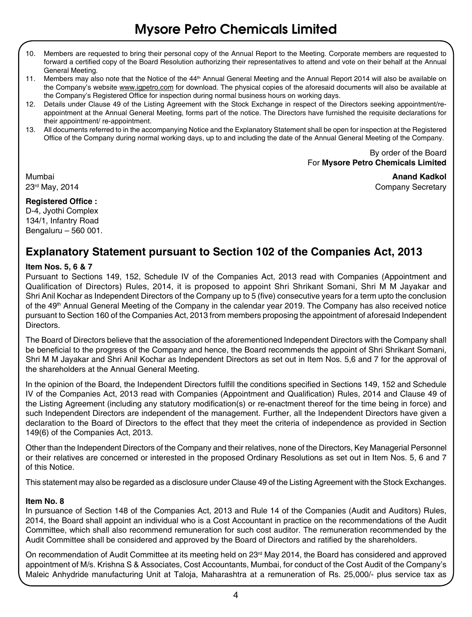- 10. Members are requested to bring their personal copy of the Annual Report to the Meeting. Corporate members are requested to forward a certified copy of the Board Resolution authorizing their representatives to attend and vote on their behalf at the Annual General Meeting.
- 11. Members may also note that the Notice of the 44<sup>th</sup> Annual General Meeting and the Annual Report 2014 will also be available on the Company's website www.igpetro.com for download. The physical copies of the aforesaid documents will also be available at the Company's Registered Office for inspection during normal business hours on working days.
- 12. Details under Clause 49 of the Listing Agreement with the Stock Exchange in respect of the Directors seeking appointment/reappointment at the Annual General Meeting, forms part of the notice. The Directors have furnished the requisite declarations for their appointment/ re-appointment.
- 13. All documents referred to in the accompanying Notice and the Explanatory Statement shall be open for inspection at the Registered Office of the Company during normal working days, up to and including the date of the Annual General Meeting of the Company.

By order of the Board For **Mysore Petro Chemicals Limited** 

Mumbai **Anand Kadkol**

23<sup>rd</sup> May, 2014 **Company Secretary** 2014

### **Registered Office :**

D-4, Jyothi Complex 134/1, Infantry Road Bengaluru – 560 001.

### **Explanatory Statement pursuant to Section 102 of the Companies Act, 2013**

### **Item Nos. 5, 6 & 7**

Pursuant to Sections 149, 152, Schedule IV of the Companies Act, 2013 read with Companies (Appointment and Qualification of Directors) Rules, 2014, it is proposed to appoint Shri Shrikant Somani, Shri M M Jayakar and Shri Anil Kochar as Independent Directors of the Company up to 5 (five) consecutive years for a term upto the conclusion of the 49<sup>th</sup> Annual General Meeting of the Company in the calendar year 2019. The Company has also received notice pursuant to Section 160 of the Companies Act, 2013 from members proposing the appointment of aforesaid Independent Directors.

The Board of Directors believe that the association of the aforementioned Independent Directors with the Company shall be beneficial to the progress of the Company and hence, the Board recommends the appoint of Shri Shrikant Somani, Shri M M Jayakar and Shri Anil Kochar as Independent Directors as set out in Item Nos. 5,6 and 7 for the approval of the shareholders at the Annual General Meeting.

In the opinion of the Board, the Independent Directors fulfill the conditions specified in Sections 149, 152 and Schedule IV of the Companies Act, 2013 read with Companies (Appointment and Qualification) Rules, 2014 and Clause 49 of the Listing Agreement (including any statutory modification(s) or re-enactment thereof for the time being in force) and such Independent Directors are independent of the management. Further, all the Independent Directors have given a declaration to the Board of Directors to the effect that they meet the criteria of independence as provided in Section 149(6) of the Companies Act, 2013.

Other than the Independent Directors of the Company and their relatives, none of the Directors, Key Managerial Personnel or their relatives are concerned or interested in the proposed Ordinary Resolutions as set out in Item Nos. 5, 6 and 7 of this Notice.

This statement may also be regarded as a disclosure under Clause 49 of the Listing Agreement with the Stock Exchanges.

### **Item No. 8**

In pursuance of Section 148 of the Companies Act, 2013 and Rule 14 of the Companies (Audit and Auditors) Rules, 2014, the Board shall appoint an individual who is a Cost Accountant in practice on the recommendations of the Audit Committee, which shall also recommend remuneration for such cost auditor. The remuneration recommended by the Audit Committee shall be considered and approved by the Board of Directors and ratified by the shareholders.

On recommendation of Audit Committee at its meeting held on 23<sup>rd</sup> May 2014, the Board has considered and approved appointment of M/s. Krishna S & Associates, Cost Accountants, Mumbai, for conduct of the Cost Audit of the Company's Maleic Anhydride manufacturing Unit at Taloja, Maharashtra at a remuneration of Rs. 25,000/- plus service tax as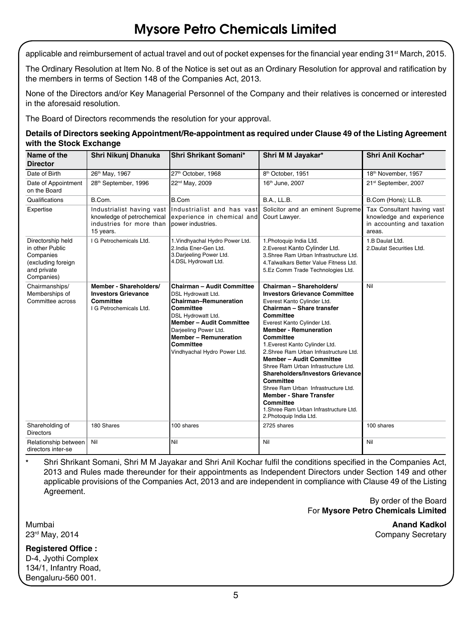applicable and reimbursement of actual travel and out of pocket expenses for the financial year ending 31<sup>st</sup> March, 2015.

The Ordinary Resolution at Item No. 8 of the Notice is set out as an Ordinary Resolution for approval and ratification by the members in terms of Section 148 of the Companies Act, 2013.

None of the Directors and/or Key Managerial Personnel of the Company and their relatives is concerned or interested in the aforesaid resolution.

The Board of Directors recommends the resolution for your approval.

| Details of Directors seeking Appointment/Re-appointment as required under Clause 49 of the Listing Agreement |
|--------------------------------------------------------------------------------------------------------------|
| with the Stock Exchange                                                                                      |

| Name of the<br><b>Director</b>                                                                       | Shri Nikunj Dhanuka                                                                              | Shri Shrikant Somani*                                                                                                                                                                                                                                        | Shri M M Jayakar*                                                                                                                                                                                                                                                                                                                                                                                                                                                                                                                                                                              | Shri Anil Kochar*                                                                              |
|------------------------------------------------------------------------------------------------------|--------------------------------------------------------------------------------------------------|--------------------------------------------------------------------------------------------------------------------------------------------------------------------------------------------------------------------------------------------------------------|------------------------------------------------------------------------------------------------------------------------------------------------------------------------------------------------------------------------------------------------------------------------------------------------------------------------------------------------------------------------------------------------------------------------------------------------------------------------------------------------------------------------------------------------------------------------------------------------|------------------------------------------------------------------------------------------------|
| Date of Birth                                                                                        | 26th May, 1967                                                                                   | 27th October, 1968                                                                                                                                                                                                                                           | 8 <sup>th</sup> October, 1951                                                                                                                                                                                                                                                                                                                                                                                                                                                                                                                                                                  | 18th November, 1957                                                                            |
| Date of Appointment<br>on the Board                                                                  | 28th September, 1996                                                                             | 22 <sup>nd</sup> May, 2009                                                                                                                                                                                                                                   | 16th June, 2007                                                                                                                                                                                                                                                                                                                                                                                                                                                                                                                                                                                | 21st September, 2007                                                                           |
| Qualifications                                                                                       | B.Com.                                                                                           | B.Com                                                                                                                                                                                                                                                        | <b>B.A., LL.B.</b>                                                                                                                                                                                                                                                                                                                                                                                                                                                                                                                                                                             | B.Com (Hons); LL.B.                                                                            |
| Expertise                                                                                            | Industrialist having vast<br>knowledge of petrochemical<br>industries for more than<br>15 years. | Industrialist and has vast<br>experience in chemical and<br>power industries.                                                                                                                                                                                | Solicitor and an eminent Supreme<br>Court Lawyer.                                                                                                                                                                                                                                                                                                                                                                                                                                                                                                                                              | Tax Consultant having vast<br>knowledge and experience<br>in accounting and taxation<br>areas. |
| Directorship held<br>in other Public<br>Companies<br>(excluding foreign<br>and private<br>Companies) | I G Petrochemicals Ltd.                                                                          | 1. Vindhyachal Hydro Power Ltd.<br>2.India Ener-Gen Ltd.<br>3. Darjeeling Power Ltd.<br>4.DSL Hydrowatt Ltd.                                                                                                                                                 | 1. Photoquip India Ltd.<br>2. Everest Kanto Cylinder Ltd.<br>3. Shree Ram Urban Infrastructure Ltd.<br>4. Talwalkars Better Value Fitness Ltd.<br>5.Ez Comm Trade Technologies Ltd.                                                                                                                                                                                                                                                                                                                                                                                                            | 1.B Daulat Ltd.<br>2. Daulat Securities Ltd.                                                   |
| Chairmanships/<br>Memberships of<br>Committee across                                                 | Member - Shareholders/<br><b>Investors Grievance</b><br>Committee<br>I G Petrochemicals Ltd.     | Chairman - Audit Committee<br>DSL Hydrowatt Ltd.<br><b>Chairman-Remuneration</b><br>Committee<br>DSL Hydrowatt Ltd.<br><b>Member - Audit Committee</b><br>Darjeeling Power Ltd.<br><b>Member - Remuneration</b><br>Committee<br>Vindhyachal Hydro Power Ltd. | Chairman - Shareholders/<br><b>Investors Grievance Committee</b><br>Everest Kanto Cylinder Ltd.<br>Chairman - Share transfer<br>Committee<br>Everest Kanto Cylinder Ltd.<br><b>Member - Remuneration</b><br>Committee<br>1. Everest Kanto Cylinder Ltd.<br>2. Shree Ram Urban Infrastructure Ltd.<br><b>Member - Audit Committee</b><br>Shree Ram Urban Infrastructure Ltd.<br><b>Shareholders/Investors Grievance</b><br>Committee<br>Shree Ram Urban Infrastructure Ltd.<br><b>Member - Share Transfer</b><br>Committee<br>1. Shree Ram Urban Infrastructure Ltd.<br>2. Photoquip India Ltd. | Nil                                                                                            |
| Shareholding of<br><b>Directors</b>                                                                  | 180 Shares                                                                                       | 100 shares                                                                                                                                                                                                                                                   | 2725 shares                                                                                                                                                                                                                                                                                                                                                                                                                                                                                                                                                                                    | 100 shares                                                                                     |
| Relationship between<br>directors inter-se                                                           | Nil                                                                                              | Nil                                                                                                                                                                                                                                                          | Nil                                                                                                                                                                                                                                                                                                                                                                                                                                                                                                                                                                                            | Nil                                                                                            |

**\*** Shri Shrikant Somani, Shri M M Jayakar and Shri Anil Kochar fulfil the conditions specified in the Companies Act, 2013 and Rules made thereunder for their appointments as Independent Directors under Section 149 and other applicable provisions of the Companies Act, 2013 and are independent in compliance with Clause 49 of the Listing Agreement.

> By order of the Board For **Mysore Petro Chemicals Limited**

Mumbai **Anand Kadkol** 23<sup>rd</sup> May, 2014 **Company Secretary** 23<sup>rd</sup> May, 2014

**Registered Office :** D-4, Jyothi Complex 134/1, Infantry Road, Bengaluru-560 001.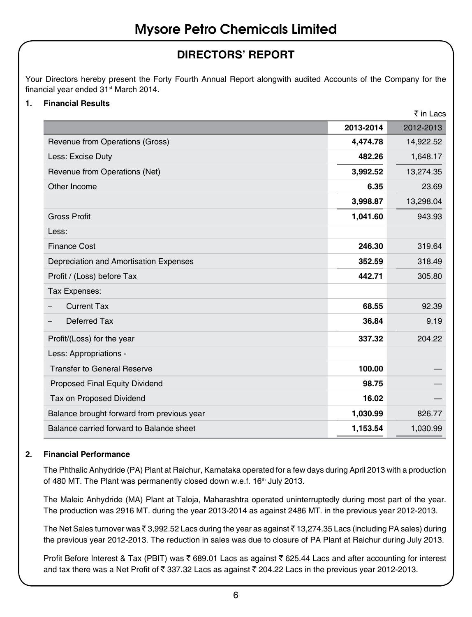### **DIRECTORS' REPORT**

Your Directors hereby present the Forty Fourth Annual Report alongwith audited Accounts of the Company for the financial year ended 31<sup>st</sup> March 2014.

### **1. Financial Results**

|                                            |           | ₹ in Lacs |
|--------------------------------------------|-----------|-----------|
|                                            | 2013-2014 | 2012-2013 |
| Revenue from Operations (Gross)            | 4,474.78  | 14,922.52 |
| Less: Excise Duty                          | 482.26    | 1,648.17  |
| Revenue from Operations (Net)              | 3,992.52  | 13,274.35 |
| Other Income                               | 6.35      | 23.69     |
|                                            | 3,998.87  | 13,298.04 |
| <b>Gross Profit</b>                        | 1,041.60  | 943.93    |
| Less:                                      |           |           |
| <b>Finance Cost</b>                        | 246.30    | 319.64    |
| Depreciation and Amortisation Expenses     | 352.59    | 318.49    |
| Profit / (Loss) before Tax                 | 442.71    | 305.80    |
| Tax Expenses:                              |           |           |
| <b>Current Tax</b>                         | 68.55     | 92.39     |
| Deferred Tax<br>$\qquad \qquad -$          | 36.84     | 9.19      |
| Profit/(Loss) for the year                 | 337.32    | 204.22    |
| Less: Appropriations -                     |           |           |
| <b>Transfer to General Reserve</b>         | 100.00    |           |
| Proposed Final Equity Dividend             | 98.75     |           |
| Tax on Proposed Dividend                   | 16.02     |           |
| Balance brought forward from previous year | 1,030.99  | 826.77    |
| Balance carried forward to Balance sheet   | 1,153.54  | 1,030.99  |

### **2. Financial Performance**

The Phthalic Anhydride (PA) Plant at Raichur, Karnataka operated for a few days during April 2013 with a production of 480 MT. The Plant was permanently closed down w.e.f. 16<sup>th</sup> July 2013.

The Maleic Anhydride (MA) Plant at Taloja, Maharashtra operated uninterruptedly during most part of the year. The production was 2916 MT. during the year 2013-2014 as against 2486 MT. in the previous year 2012-2013.

The Net Sales turnover was  $\bar{z}$  3,992.52 Lacs during the year as against  $\bar{z}$  13,274.35 Lacs (including PA sales) during the previous year 2012-2013. The reduction in sales was due to closure of PA Plant at Raichur during July 2013.

Profit Before Interest & Tax (PBIT) was  $\bar{\tau}$  689.01 Lacs as against  $\bar{\tau}$  625.44 Lacs and after accounting for interest and tax there was a Net Profit of  $\bar{\tau}$  337.32 Lacs as against  $\bar{\tau}$  204.22 Lacs in the previous year 2012-2013.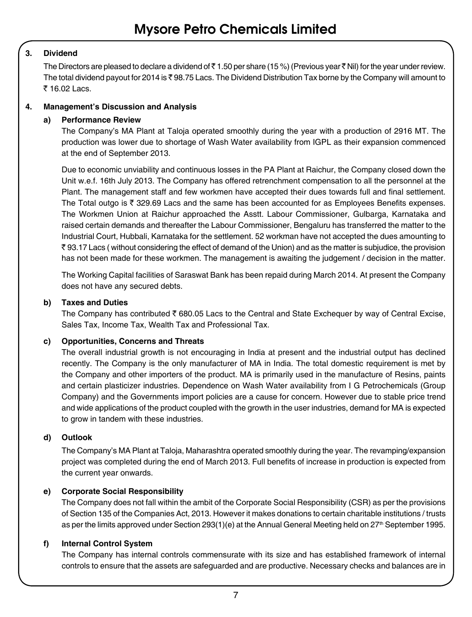### **3. Dividend**

The Directors are pleased to declare a dividend of  $\bar{\tau}$  1.50 per share (15 %) (Previous year  $\bar{\tau}$  Nil) for the year under review. The total dividend payout for 2014 is  $\bar{\tau}$  98.75 Lacs. The Dividend Distribution Tax borne by the Company will amount to ₹ 16.02 Lacs.

### **4. Management's Discussion and Analysis**

### **a) Performance Review**

The Company's MA Plant at Taloja operated smoothly during the year with a production of 2916 MT. The production was lower due to shortage of Wash Water availability from IGPL as their expansion commenced at the end of September 2013.

Due to economic unviability and continuous losses in the PA Plant at Raichur, the Company closed down the Unit w.e.f. 16th July 2013. The Company has offered retrenchment compensation to all the personnel at the Plant. The management staff and few workmen have accepted their dues towards full and final settlement. The Total outgo is  $\bar{\tau}$  329.69 Lacs and the same has been accounted for as Employees Benefits expenses. The Workmen Union at Raichur approached the Asstt. Labour Commissioner, Gulbarga, Karnataka and raised certain demands and thereafter the Labour Commissioner, Bengaluru has transferred the matter to the Industrial Court, Hubbali, Karnataka for the settlement. 52 workman have not accepted the dues amounting to  $\bar{\tau}$  93.17 Lacs ( without considering the effect of demand of the Union) and as the matter is subjudice, the provision has not been made for these workmen. The management is awaiting the judgement / decision in the matter.

The Working Capital facilities of Saraswat Bank has been repaid during March 2014. At present the Company does not have any secured debts.

### **b) Taxes and Duties**

The Company has contributed  $\bar{\tau}$  680.05 Lacs to the Central and State Exchequer by way of Central Excise, Sales Tax, Income Tax, Wealth Tax and Professional Tax.

### **c) Opportunities, Concerns and Threats**

The overall industrial growth is not encouraging in India at present and the industrial output has declined recently. The Company is the only manufacturer of MA in India. The total domestic requirement is met by the Company and other importers of the product. MA is primarily used in the manufacture of Resins, paints and certain plasticizer industries. Dependence on Wash Water availability from I G Petrochemicals (Group Company) and the Governments import policies are a cause for concern. However due to stable price trend and wide applications of the product coupled with the growth in the user industries, demand for MA is expected to grow in tandem with these industries.

### **d) Outlook**

The Company's MA Plant at Taloja, Maharashtra operated smoothly during the year. The revamping/expansion project was completed during the end of March 2013. Full benefits of increase in production is expected from the current year onwards.

### **e) Corporate Social Responsibility**

The Company does not fall within the ambit of the Corporate Social Responsibility (CSR) as per the provisions of Section 135 of the Companies Act, 2013. However it makes donations to certain charitable institutions / trusts as per the limits approved under Section 293(1)(e) at the Annual General Meeting held on 27<sup>th</sup> September 1995.

#### **f) Internal Control System**

The Company has internal controls commensurate with its size and has established framework of internal controls to ensure that the assets are safeguarded and are productive. Necessary checks and balances are in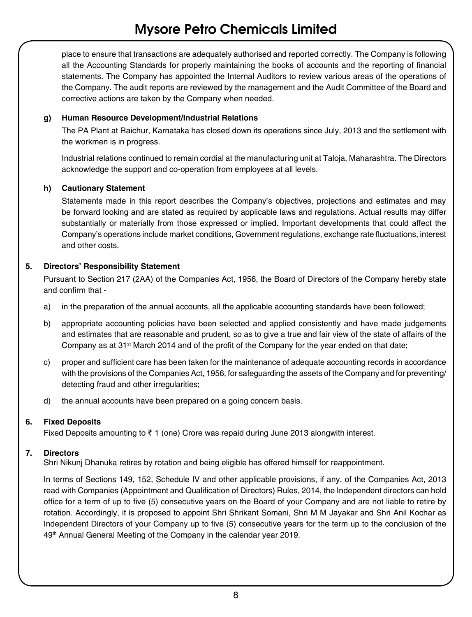place to ensure that transactions are adequately authorised and reported correctly. The Company is following all the Accounting Standards for properly maintaining the books of accounts and the reporting of financial statements. The Company has appointed the Internal Auditors to review various areas of the operations of the Company. The audit reports are reviewed by the management and the Audit Committee of the Board and corrective actions are taken by the Company when needed.

### **g) Human Resource Development/Industrial Relations**

The PA Plant at Raichur, Karnataka has closed down its operations since July, 2013 and the settlement with the workmen is in progress.

Industrial relations continued to remain cordial at the manufacturing unit at Taloja, Maharashtra. The Directors acknowledge the support and co-operation from employees at all levels.

### **h) Cautionary Statement**

Statements made in this report describes the Company's objectives, projections and estimates and may be forward looking and are stated as required by applicable laws and regulations. Actual results may differ substantially or materially from those expressed or implied. Important developments that could affect the Company's operations include market conditions, Government regulations, exchange rate fluctuations, interest and other costs.

### **5. Directors' Responsibility Statement**

Pursuant to Section 217 (2AA) of the Companies Act, 1956, the Board of Directors of the Company hereby state and confirm that -

- a) in the preparation of the annual accounts, all the applicable accounting standards have been followed;
- b) appropriate accounting policies have been selected and applied consistently and have made judgements and estimates that are reasonable and prudent, so as to give a true and fair view of the state of affairs of the Company as at 31st March 2014 and of the profit of the Company for the year ended on that date;
- c) proper and sufficient care has been taken for the maintenance of adequate accounting records in accordance with the provisions of the Companies Act, 1956, for safeguarding the assets of the Company and for preventing/ detecting fraud and other irregularities;
- d) the annual accounts have been prepared on a going concern basis.

### **6. Fixed Deposits**

Fixed Deposits amounting to  $\bar{z}$  1 (one) Crore was repaid during June 2013 alongwith interest.

### **7. Directors**

Shri Nikunj Dhanuka retires by rotation and being eligible has offered himself for reappointment.

In terms of Sections 149, 152, Schedule IV and other applicable provisions, if any, of the Companies Act, 2013 read with Companies (Appointment and Qualification of Directors) Rules, 2014, the Independent directors can hold office for a term of up to five (5) consecutive years on the Board of your Company and are not liable to retire by rotation. Accordingly, it is proposed to appoint Shri Shrikant Somani, Shri M M Jayakar and Shri Anil Kochar as Independent Directors of your Company up to five (5) consecutive years for the term up to the conclusion of the 49<sup>th</sup> Annual General Meeting of the Company in the calendar year 2019.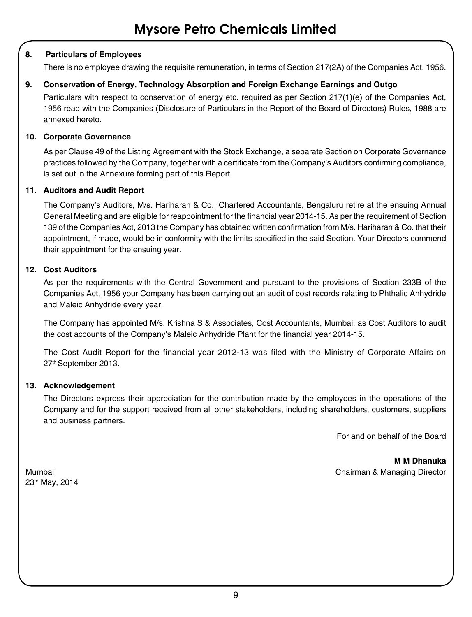### **8. Particulars of Employees**

There is no employee drawing the requisite remuneration, in terms of Section 217(2A) of the Companies Act, 1956.

### **9. Conservation of Energy, Technology Absorption and Foreign Exchange Earnings and Outgo**

Particulars with respect to conservation of energy etc. required as per Section 217(1)(e) of the Companies Act, 1956 read with the Companies (Disclosure of Particulars in the Report of the Board of Directors) Rules, 1988 are annexed hereto.

### **10. Corporate Governance**

As per Clause 49 of the Listing Agreement with the Stock Exchange, a separate Section on Corporate Governance practices followed by the Company, together with a certificate from the Company's Auditors confirming compliance, is set out in the Annexure forming part of this Report.

### **11. Auditors and Audit Report**

The Company's Auditors, M/s. Hariharan & Co., Chartered Accountants, Bengaluru retire at the ensuing Annual General Meeting and are eligible for reappointment for the financial year 2014-15. As per the requirement of Section 139 of the Companies Act, 2013 the Company has obtained written confirmation from M/s. Hariharan & Co. that their appointment, if made, would be in conformity with the limits specified in the said Section. Your Directors commend their appointment for the ensuing year.

### **12. Cost Auditors**

As per the requirements with the Central Government and pursuant to the provisions of Section 233B of the Companies Act, 1956 your Company has been carrying out an audit of cost records relating to Phthalic Anhydride and Maleic Anhydride every year.

The Company has appointed M/s. Krishna S & Associates, Cost Accountants, Mumbai, as Cost Auditors to audit the cost accounts of the Company's Maleic Anhydride Plant for the financial year 2014-15.

The Cost Audit Report for the financial year 2012-13 was filed with the Ministry of Corporate Affairs on 27th September 2013.

### **13. Acknowledgement**

The Directors express their appreciation for the contribution made by the employees in the operations of the Company and for the support received from all other stakeholders, including shareholders, customers, suppliers and business partners.

For and on behalf of the Board

**M M Dhanuka** Mumbai Chairman & Managing Director

23rd May, 2014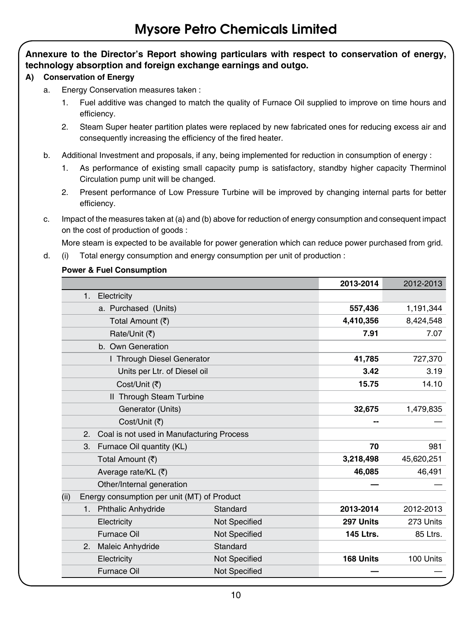### **Annexure to the Director's Report showing particulars with respect to conservation of energy, technology absorption and foreign exchange earnings and outgo.**

### **A) Conservation of Energy**

- a. Energy Conservation measures taken :
	- 1. Fuel additive was changed to match the quality of Furnace Oil supplied to improve on time hours and efficiency.
	- 2. Steam Super heater partition plates were replaced by new fabricated ones for reducing excess air and consequently increasing the efficiency of the fired heater.
- b. Additional Investment and proposals, if any, being implemented for reduction in consumption of energy :
	- 1. As performance of existing small capacity pump is satisfactory, standby higher capacity Therminol Circulation pump unit will be changed.
	- 2. Present performance of Low Pressure Turbine will be improved by changing internal parts for better efficiency.
- c. Impact of the measures taken at (a) and (b) above for reduction of energy consumption and consequent impact on the cost of production of goods :

More steam is expected to be available for power generation which can reduce power purchased from grid.

d. (i) Total energy consumption and energy consumption per unit of production :

### **Power & Fuel Consumption**

|                |                                             |                      | 2013-2014        | 2012-2013  |
|----------------|---------------------------------------------|----------------------|------------------|------------|
| 1. Electricity |                                             |                      |                  |            |
|                | a. Purchased (Units)                        |                      |                  | 1,191,344  |
|                | Total Amount (₹)                            |                      |                  | 8,424,548  |
|                | Rate/Unit (そ)                               |                      |                  | 7.07       |
|                | b. Own Generation                           |                      |                  |            |
|                | I Through Diesel Generator                  |                      | 41,785           | 727,370    |
|                | Units per Ltr. of Diesel oil                |                      | 3.42             | 3.19       |
|                | Cost/Unit (₹)                               |                      | 15.75            | 14.10      |
|                | II Through Steam Turbine                    |                      |                  |            |
|                | Generator (Units)                           |                      | 32,675           | 1,479,835  |
|                | Cost/Unit (そ)                               |                      |                  |            |
| 2.             | Coal is not used in Manufacturing Process   |                      |                  |            |
| 3.             | Furnace Oil quantity (KL)                   |                      | 70               | 981        |
|                | Total Amount (₹)                            |                      | 3,218,498        | 45,620,251 |
|                | Average rate/KL (₹)                         |                      | 46,085           | 46,491     |
|                | Other/Internal generation                   |                      |                  |            |
| (ii)           | Energy consumption per unit (MT) of Product |                      |                  |            |
|                | 1. Phthalic Anhydride                       | Standard             | 2013-2014        | 2012-2013  |
|                | Electricity                                 | <b>Not Specified</b> | 297 Units        | 273 Units  |
|                | <b>Furnace Oil</b>                          | <b>Not Specified</b> | <b>145 Ltrs.</b> | 85 Ltrs.   |
| 2.             | <b>Maleic Anhydride</b>                     | Standard             |                  |            |
|                | Electricity                                 | Not Specified        | 168 Units        | 100 Units  |
|                | <b>Furnace Oil</b>                          | <b>Not Specified</b> |                  |            |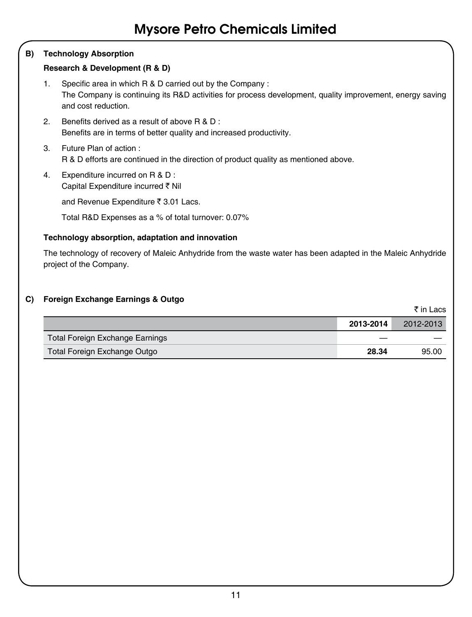### **B) Technology Absorption**

### **Research & Development (R & D)**

- 1. Specific area in which R & D carried out by the Company : The Company is continuing its R&D activities for process development, quality improvement, energy saving and cost reduction.
- 2. Benefits derived as a result of above R & D : Benefits are in terms of better quality and increased productivity.
- 3. Future Plan of action : R & D efforts are continued in the direction of product quality as mentioned above.
- 4. Expenditure incurred on R & D : Capital Expenditure incurred ` Nil

and Revenue Expenditure  $\bar{\tau}$  3.01 Lacs.

Total R&D Expenses as a % of total turnover: 0.07%

### **Technology absorption, adaptation and innovation**

The technology of recovery of Maleic Anhydride from the waste water has been adapted in the Maleic Anhydride project of the Company.

### **C) Foreign Exchange Earnings & Outgo**

|                                 |           | ₹ in Lacs |
|---------------------------------|-----------|-----------|
|                                 | 2013-2014 | 2012-2013 |
| Total Foreign Exchange Earnings |           |           |
| Total Foreign Exchange Outgo    | 28.34     | 95.00     |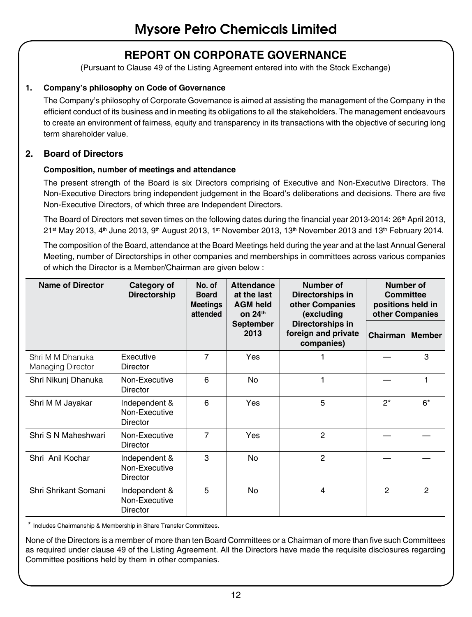### **REPORT ON CORPORATE GOVERNANCE**

(Pursuant to Clause 49 of the Listing Agreement entered into with the Stock Exchange)

### **1. Company's philosophy on Code of Governance**

The Company's philosophy of Corporate Governance is aimed at assisting the management of the Company in the efficient conduct of its business and in meeting its obligations to all the stakeholders. The management endeavours to create an environment of fairness, equity and transparency in its transactions with the objective of securing long term shareholder value.

### **2. Board of Directors**

### **Composition, number of meetings and attendance**

The present strength of the Board is six Directors comprising of Executive and Non-Executive Directors. The Non-Executive Directors bring independent judgement in the Board's deliberations and decisions. There are five Non-Executive Directors, of which three are Independent Directors.

The Board of Directors met seven times on the following dates during the financial year 2013-2014: 26<sup>th</sup> April 2013,  $21$ <sup>st</sup> May 2013, 4<sup>th</sup> June 2013, 9<sup>th</sup> August 2013, 1<sup>st</sup> November 2013, 13<sup>th</sup> November 2013 and 13<sup>th</sup> February 2014.

The composition of the Board, attendance at the Board Meetings held during the year and at the last Annual General Meeting, number of Directorships in other companies and memberships in committees across various companies of which the Director is a Member/Chairman are given below :

| <b>Name of Director</b>                      | Category of<br><b>Directorship</b>         | No. of<br><b>Board</b><br><b>Meetings</b><br>attended | Attendance<br>at the last<br><b>AGM held</b><br>on $24th$ | Number of<br>Directorships in<br>other Companies<br>(excluding | Number of<br>Committee<br>positions held in<br>other Companies |                |
|----------------------------------------------|--------------------------------------------|-------------------------------------------------------|-----------------------------------------------------------|----------------------------------------------------------------|----------------------------------------------------------------|----------------|
|                                              |                                            |                                                       | September<br>2013                                         | Directorships in<br>foreign and private<br>companies)          | Chairman                                                       | Member         |
| Shri M M Dhanuka<br><b>Managing Director</b> | Executive<br>Director                      | 7                                                     | Yes                                                       | 1                                                              |                                                                | 3              |
| Shri Nikunj Dhanuka                          | Non-Executive<br>Director                  | 6                                                     | No                                                        | 1                                                              |                                                                | 1              |
| Shri M M Jayakar                             | Independent &<br>Non-Executive<br>Director | 6                                                     | <b>Yes</b>                                                | 5                                                              | $2^*$                                                          | $6*$           |
| Shri S N Maheshwari                          | Non-Executive<br>Director                  | $\overline{7}$                                        | <b>Yes</b>                                                | $\overline{2}$                                                 |                                                                |                |
| Shri Anil Kochar                             | Independent &<br>Non-Executive<br>Director | 3                                                     | No                                                        | $\mathfrak{p}$                                                 |                                                                |                |
| Shri Shrikant Somani                         | Independent &<br>Non-Executive<br>Director | 5                                                     | No                                                        | 4                                                              | 2                                                              | $\mathfrak{p}$ |

\* Includes Chairmanship & Membership in Share Transfer Committees.

None of the Directors is a member of more than ten Board Committees or a Chairman of more than five such Committees as required under clause 49 of the Listing Agreement. All the Directors have made the requisite disclosures regarding Committee positions held by them in other companies.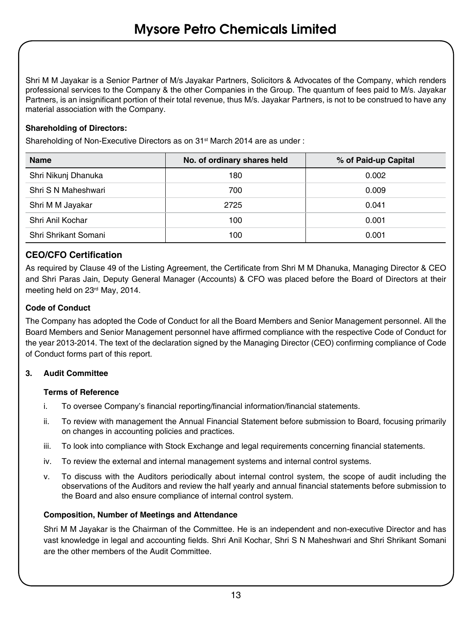Shri M M Jayakar is a Senior Partner of M/s Jayakar Partners, Solicitors & Advocates of the Company, which renders professional services to the Company & the other Companies in the Group. The quantum of fees paid to M/s. Jayakar Partners, is an insignificant portion of their total revenue, thus M/s. Jayakar Partners, is not to be construed to have any material association with the Company.

### **Shareholding of Directors:**

Shareholding of Non-Executive Directors as on 31<sup>st</sup> March 2014 are as under :

| <b>Name</b>          | No. of ordinary shares held | % of Paid-up Capital |  |
|----------------------|-----------------------------|----------------------|--|
| Shri Nikunj Dhanuka  | 180                         | 0.002                |  |
| Shri S N Maheshwari  | 700                         | 0.009                |  |
| Shri M M Jayakar     | 2725                        | 0.041                |  |
| Shri Anil Kochar     | 100                         | 0.001                |  |
| Shri Shrikant Somani | 100                         | 0.001                |  |

### **CEO/CFO Certification**

As required by Clause 49 of the Listing Agreement, the Certificate from Shri M M Dhanuka, Managing Director & CEO and Shri Paras Jain, Deputy General Manager (Accounts) & CFO was placed before the Board of Directors at their meeting held on 23rd May, 2014.

### **Code of Conduct**

The Company has adopted the Code of Conduct for all the Board Members and Senior Management personnel. All the Board Members and Senior Management personnel have affirmed compliance with the respective Code of Conduct for the year 2013-2014. The text of the declaration signed by the Managing Director (CEO) confirming compliance of Code of Conduct forms part of this report.

### **3. Audit Committee**

### **Terms of Reference**

- i. To oversee Company's financial reporting/financial information/financial statements.
- ii. To review with management the Annual Financial Statement before submission to Board, focusing primarily on changes in accounting policies and practices.
- iii. To look into compliance with Stock Exchange and legal requirements concerning financial statements.
- iv. To review the external and internal management systems and internal control systems.
- v. To discuss with the Auditors periodically about internal control system, the scope of audit including the observations of the Auditors and review the half yearly and annual financial statements before submission to the Board and also ensure compliance of internal control system.

#### **Composition, Number of Meetings and Attendance**

Shri M M Jayakar is the Chairman of the Committee. He is an independent and non-executive Director and has vast knowledge in legal and accounting fields. Shri Anil Kochar, Shri S N Maheshwari and Shri Shrikant Somani are the other members of the Audit Committee.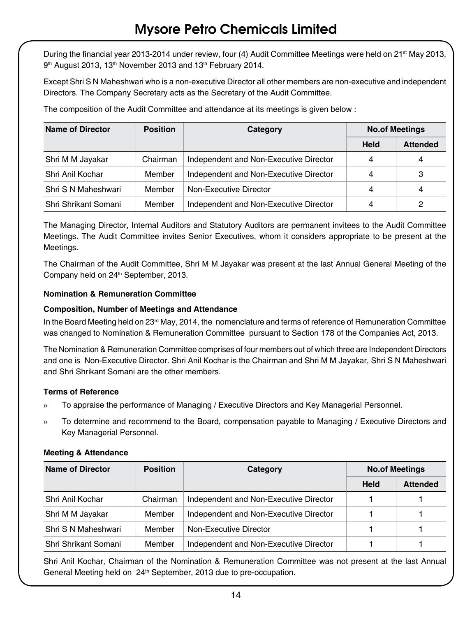During the financial year 2013-2014 under review, four (4) Audit Committee Meetings were held on 21<sup>st</sup> May 2013, 9<sup>th</sup> August 2013, 13<sup>th</sup> November 2013 and 13<sup>th</sup> February 2014.

Except Shri S N Maheshwari who is a non-executive Director all other members are non-executive and independent Directors. The Company Secretary acts as the Secretary of the Audit Committee.

The composition of the Audit Committee and attendance at its meetings is given below :

| Name of Director     | <b>Position</b> | Category                               | <b>No.of Meetings</b> |                 |
|----------------------|-----------------|----------------------------------------|-----------------------|-----------------|
|                      |                 |                                        | <b>Held</b>           | <b>Attended</b> |
| Shri M M Jayakar     | Chairman        | Independent and Non-Executive Director | 4                     | 4               |
| Shri Anil Kochar     | Member          | Independent and Non-Executive Director | 4                     | 3               |
| Shri S N Maheshwari  | Member          | Non-Executive Director                 | 4                     | 4               |
| Shri Shrikant Somani | Member          | Independent and Non-Executive Director | 4                     | 2               |

The Managing Director, Internal Auditors and Statutory Auditors are permanent invitees to the Audit Committee Meetings. The Audit Committee invites Senior Executives, whom it considers appropriate to be present at the Meetings.

The Chairman of the Audit Committee, Shri M M Jayakar was present at the last Annual General Meeting of the Company held on 24<sup>th</sup> September, 2013.

### **Nomination & Remuneration Committee**

### **Composition, Number of Meetings and Attendance**

In the Board Meeting held on 23<sup>rd</sup> May, 2014, the nomenclature and terms of reference of Remuneration Committee was changed to Nomination & Remuneration Committee pursuant to Section 178 of the Companies Act, 2013.

The Nomination & Remuneration Committee comprises of four members out of which three are Independent Directors and one is Non-Executive Director. Shri Anil Kochar is the Chairman and Shri M M Jayakar, Shri S N Maheshwari and Shri Shrikant Somani are the other members.

### **Terms of Reference**

- » To appraise the performance of Managing / Executive Directors and Key Managerial Personnel.
- » To determine and recommend to the Board, compensation payable to Managing / Executive Directors and Key Managerial Personnel.

### **Meeting & Attendance**

| Name of Director     | <b>Position</b> | Category                               | <b>No.of Meetings</b> |                 |
|----------------------|-----------------|----------------------------------------|-----------------------|-----------------|
|                      |                 |                                        | Held                  | <b>Attended</b> |
| Shri Anil Kochar     | Chairman        | Independent and Non-Executive Director |                       |                 |
| Shri M M Jayakar     | Member          | Independent and Non-Executive Director |                       |                 |
| Shri S N Maheshwari  | Member          | Non-Executive Director                 |                       |                 |
| Shri Shrikant Somani | Member          | Independent and Non-Executive Director |                       |                 |

Shri Anil Kochar, Chairman of the Nomination & Remuneration Committee was not present at the last Annual General Meeting held on 24<sup>th</sup> September, 2013 due to pre-occupation.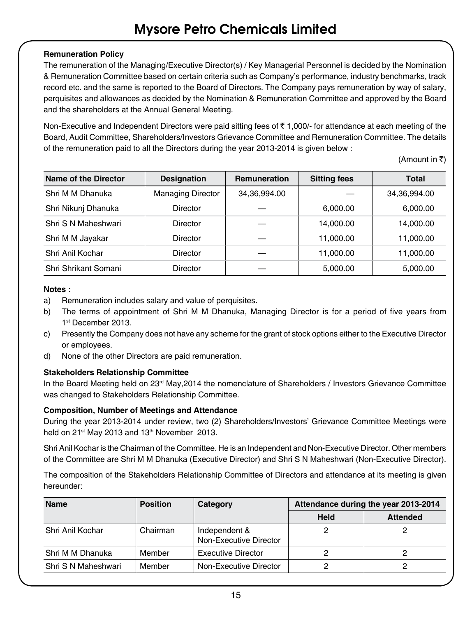### **Remuneration Policy**

The remuneration of the Managing/Executive Director(s) / Key Managerial Personnel is decided by the Nomination & Remuneration Committee based on certain criteria such as Company's performance, industry benchmarks, track record etc. and the same is reported to the Board of Directors. The Company pays remuneration by way of salary, perquisites and allowances as decided by the Nomination & Remuneration Committee and approved by the Board and the shareholders at the Annual General Meeting.

Non-Executive and Independent Directors were paid sitting fees of  $\bar{\tau}$  1,000/- for attendance at each meeting of the Board, Audit Committee, Shareholders/Investors Grievance Committee and Remuneration Committee. The details of the remuneration paid to all the Directors during the year 2013-2014 is given below :

(Amount in  $\overline{\tau}$ )

| Name of the Director | <b>Designation</b>       | <b>Remuneration</b> | <b>Sitting fees</b> | <b>Total</b> |
|----------------------|--------------------------|---------------------|---------------------|--------------|
| Shri M M Dhanuka     | <b>Managing Director</b> | 34.36.994.00        |                     | 34,36,994.00 |
| Shri Nikunj Dhanuka  | Director                 |                     | 6.000.00            | 6,000.00     |
| Shri S N Maheshwari  | Director                 |                     | 14.000.00           | 14.000.00    |
| Shri M M Jayakar     | Director                 |                     | 11,000.00           | 11,000.00    |
| Shri Anil Kochar     | Director                 |                     | 11,000.00           | 11,000.00    |
| Shri Shrikant Somani | Director                 |                     | 5,000.00            | 5,000.00     |

### **Notes :**

- a) Remuneration includes salary and value of perquisites.
- b) The terms of appointment of Shri M M Dhanuka, Managing Director is for a period of five years from 1st December 2013.
- c) Presently the Company does not have any scheme for the grant of stock options either to the Executive Director or employees.
- d) None of the other Directors are paid remuneration.

### **Stakeholders Relationship Committee**

In the Board Meeting held on 23rd May, 2014 the nomenclature of Shareholders / Investors Grievance Committee was changed to Stakeholders Relationship Committee.

### **Composition, Number of Meetings and Attendance**

During the year 2013-2014 under review, two (2) Shareholders/Investors' Grievance Committee Meetings were held on 21<sup>st</sup> May 2013 and 13<sup>th</sup> November 2013.

Shri Anil Kochar is the Chairman of the Committee. He is an Independent and Non-Executive Director. Other members of the Committee are Shri M M Dhanuka (Executive Director) and Shri S N Maheshwari (Non-Executive Director).

The composition of the Stakeholders Relationship Committee of Directors and attendance at its meeting is given hereunder:

| <b>Name</b>         | <b>Position</b> | Category                                | Attendance during the year 2013-2014 |                 |
|---------------------|-----------------|-----------------------------------------|--------------------------------------|-----------------|
|                     |                 |                                         | <b>Held</b>                          | <b>Attended</b> |
| Shri Anil Kochar    | Chairman        | Independent &<br>Non-Executive Director |                                      |                 |
| Shri M M Dhanuka    | Member          | <b>Executive Director</b>               |                                      |                 |
| Shri S N Maheshwari | Member          | Non-Executive Director                  |                                      |                 |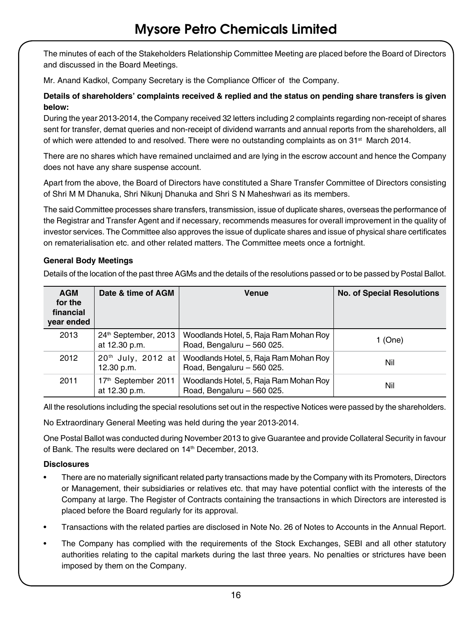The minutes of each of the Stakeholders Relationship Committee Meeting are placed before the Board of Directors and discussed in the Board Meetings.

Mr. Anand Kadkol, Company Secretary is the Compliance Officer of the Company.

### **Details of shareholders' complaints received & replied and the status on pending share transfers is given below:**

During the year 2013-2014, the Company received 32 letters including 2 complaints regarding non-receipt of shares sent for transfer, demat queries and non-receipt of dividend warrants and annual reports from the shareholders, all of which were attended to and resolved. There were no outstanding complaints as on 31<sup>st</sup> March 2014.

There are no shares which have remained unclaimed and are lying in the escrow account and hence the Company does not have any share suspense account.

Apart from the above, the Board of Directors have constituted a Share Transfer Committee of Directors consisting of Shri M M Dhanuka, Shri Nikunj Dhanuka and Shri S N Maheshwari as its members.

The said Committee processes share transfers, transmission, issue of duplicate shares, overseas the performance of the Registrar and Transfer Agent and if necessary, recommends measures for overall improvement in the quality of investor services. The Committee also approves the issue of duplicate shares and issue of physical share certificates on rematerialisation etc. and other related matters. The Committee meets once a fortnight.

### **General Body Meetings**

Details of the location of the past three AGMs and the details of the resolutions passed or to be passed by Postal Ballot.

| <b>AGM</b><br>for the<br>financial<br>year ended | Date & time of AGM                                | Venue                                                                | <b>No. of Special Resolutions</b> |
|--------------------------------------------------|---------------------------------------------------|----------------------------------------------------------------------|-----------------------------------|
| 2013                                             | 24 <sup>th</sup> September, 2013<br>at 12.30 p.m. | Woodlands Hotel, 5, Raja Ram Mohan Roy<br>Road, Bengaluru - 560 025. | 1 (One)                           |
| 2012                                             | 20 <sup>th</sup> July, 2012 at<br>12.30 p.m.      | Woodlands Hotel, 5, Raja Ram Mohan Roy<br>Road, Bengaluru - 560 025. | Nil                               |
| 2011                                             | 17 <sup>th</sup> September 2011<br>at 12.30 p.m.  | Woodlands Hotel, 5, Raja Ram Mohan Roy<br>Road, Bengaluru - 560 025. | Nil                               |

All the resolutions including the special resolutions set out in the respective Notices were passed by the shareholders.

No Extraordinary General Meeting was held during the year 2013-2014.

One Postal Ballot was conducted during November 2013 to give Guarantee and provide Collateral Security in favour of Bank. The results were declared on 14<sup>th</sup> December, 2013.

### **Disclosures**

- There are no materially significant related party transactions made by the Company with its Promoters, Directors or Management, their subsidiaries or relatives etc. that may have potential conflict with the interests of the Company at large. The Register of Contracts containing the transactions in which Directors are interested is placed before the Board regularly for its approval.
- Transactions with the related parties are disclosed in Note No. 26 of Notes to Accounts in the Annual Report.
- The Company has complied with the requirements of the Stock Exchanges, SEBI and all other statutory authorities relating to the capital markets during the last three years. No penalties or strictures have been imposed by them on the Company.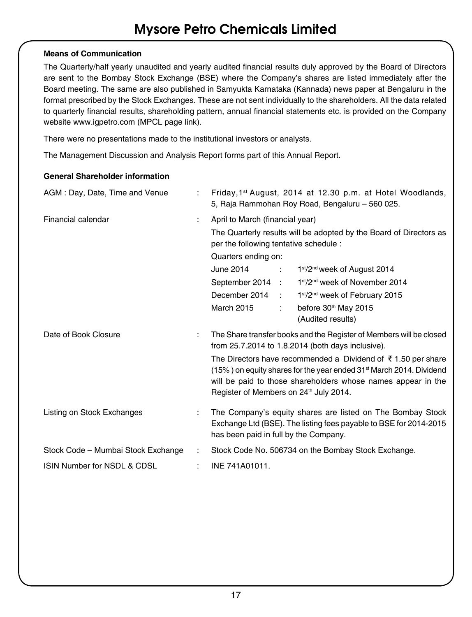### **Means of Communication**

The Quarterly/half yearly unaudited and yearly audited financial results duly approved by the Board of Directors are sent to the Bombay Stock Exchange (BSE) where the Company's shares are listed immediately after the Board meeting. The same are also published in Samyukta Karnataka (Kannada) news paper at Bengaluru in the format prescribed by the Stock Exchanges. These are not sent individually to the shareholders. All the data related to quarterly financial results, shareholding pattern, annual financial statements etc. is provided on the Company website www.igpetro.com (MPCL page link).

There were no presentations made to the institutional investors or analysts.

The Management Discussion and Analysis Report forms part of this Annual Report.

### **General Shareholder information**

| AGM: Day, Date, Time and Venue     |                                                                                                                                                                                                                                                                                   | Friday, 1 <sup>st</sup> August, 2014 at 12.30 p.m. at Hotel Woodlands,<br>5, Raja Rammohan Roy Road, Bengaluru - 560 025.                                                |  |  |  |  |
|------------------------------------|-----------------------------------------------------------------------------------------------------------------------------------------------------------------------------------------------------------------------------------------------------------------------------------|--------------------------------------------------------------------------------------------------------------------------------------------------------------------------|--|--|--|--|
| Financial calendar                 | ÷                                                                                                                                                                                                                                                                                 | April to March (financial year)                                                                                                                                          |  |  |  |  |
|                                    |                                                                                                                                                                                                                                                                                   | The Quarterly results will be adopted by the Board of Directors as<br>per the following tentative schedule :                                                             |  |  |  |  |
|                                    |                                                                                                                                                                                                                                                                                   | Quarters ending on:                                                                                                                                                      |  |  |  |  |
|                                    |                                                                                                                                                                                                                                                                                   | June 2014<br>1st/2 <sup>nd</sup> week of August 2014<br><b>Contractor</b>                                                                                                |  |  |  |  |
|                                    |                                                                                                                                                                                                                                                                                   | 1st/2 <sup>nd</sup> week of November 2014<br>September 2014 :                                                                                                            |  |  |  |  |
|                                    |                                                                                                                                                                                                                                                                                   | December 2014 :<br>1st/2 <sup>nd</sup> week of February 2015                                                                                                             |  |  |  |  |
|                                    |                                                                                                                                                                                                                                                                                   | <b>March 2015</b><br>before 30 <sup>th</sup> May 2015<br>$\mathbb{R}^{\mathbb{Z}}$                                                                                       |  |  |  |  |
|                                    |                                                                                                                                                                                                                                                                                   | (Audited results)                                                                                                                                                        |  |  |  |  |
| Date of Book Closure               | The Share transfer books and the Register of Members will be closed<br>÷<br>from 25.7.2014 to 1.8.2014 (both days inclusive).                                                                                                                                                     |                                                                                                                                                                          |  |  |  |  |
|                                    | The Directors have recommended a Dividend of $\bar{\tau}$ 1.50 per share<br>(15%) on equity shares for the year ended 31 <sup>st</sup> March 2014. Dividend<br>will be paid to those shareholders whose names appear in the<br>Register of Members on 24 <sup>th</sup> July 2014. |                                                                                                                                                                          |  |  |  |  |
| Listing on Stock Exchanges         | ÷                                                                                                                                                                                                                                                                                 | The Company's equity shares are listed on The Bombay Stock<br>Exchange Ltd (BSE). The listing fees payable to BSE for 2014-2015<br>has been paid in full by the Company. |  |  |  |  |
| Stock Code - Mumbai Stock Exchange |                                                                                                                                                                                                                                                                                   | Stock Code No. 506734 on the Bombay Stock Exchange.                                                                                                                      |  |  |  |  |
| ISIN Number for NSDL & CDSL        |                                                                                                                                                                                                                                                                                   | INE 741A01011.                                                                                                                                                           |  |  |  |  |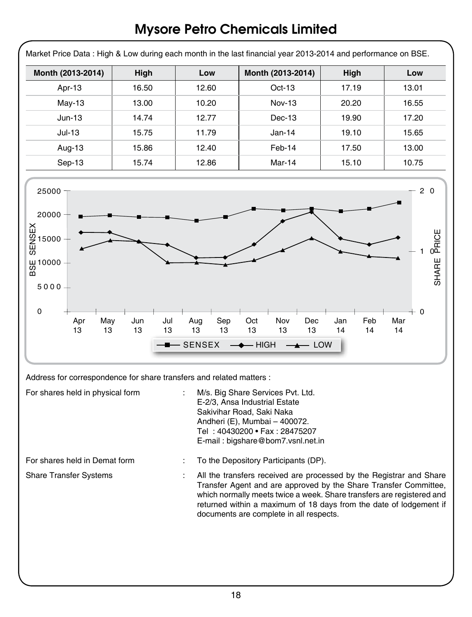| Month (2013-2014)                                           | High  | Low   | Month (2013-2014) | High  | Low         |
|-------------------------------------------------------------|-------|-------|-------------------|-------|-------------|
| Apr-13                                                      | 16.50 | 12.60 | Oct-13            | 17.19 | 13.01       |
| May-13                                                      | 13.00 | 10.20 | <b>Nov-13</b>     | 20.20 | 16.55       |
| $Jun-13$                                                    | 14.74 | 12.77 | Dec-13            | 19.90 | 17.20       |
| $Jul-13$                                                    | 15.75 | 11.79 | Jan-14            | 19.10 | 15.65       |
| Aug-13                                                      | 15.86 | 12.40 | $Feb-14$          | 17.50 | 13.00       |
| Sep-13                                                      | 15.74 | 12.86 | Mar-14            | 15.10 | 10.75       |
| $25000 -$<br>20000                                          |       |       |                   |       |             |
| <b>SENSEX</b><br>15000<br>យ 10000 –<br><b>៣</b><br>$5000 -$ |       |       |                   |       | 20<br>PRICE |

Address for correspondence for share transfers and related matters :

| For shares held in physical form | M/s. Big Share Services Pvt. Ltd.<br>E-2/3. Ansa Industrial Estate<br>Sakivihar Road, Saki Naka<br>Andheri (E), Mumbai - 400072.<br>Tel: 40430200 • Fax: 28475207<br>E-mail: bigshare@bom7.vsnl.net.in                                                                                                                            |
|----------------------------------|-----------------------------------------------------------------------------------------------------------------------------------------------------------------------------------------------------------------------------------------------------------------------------------------------------------------------------------|
| For shares held in Demat form    | To the Depository Participants (DP).                                                                                                                                                                                                                                                                                              |
| <b>Share Transfer Systems</b>    | All the transfers received are processed by the Registrar and Share<br>Transfer Agent and are approved by the Share Transfer Committee,<br>which normally meets twice a week. Share transfers are registered and<br>returned within a maximum of 18 days from the date of lodgement if<br>documents are complete in all respects. |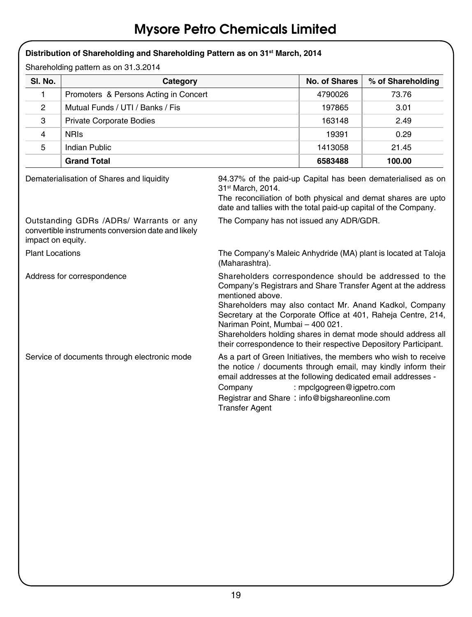|                                                                                                                    | Distribution of Shareholding and Shareholding Pattern as on 31 <sup>st</sup> March, 2014 |                                                                                                                                                                                                                                                                                                                                                                                                                                                |                                                                                                                                                                                                 |                   |  |
|--------------------------------------------------------------------------------------------------------------------|------------------------------------------------------------------------------------------|------------------------------------------------------------------------------------------------------------------------------------------------------------------------------------------------------------------------------------------------------------------------------------------------------------------------------------------------------------------------------------------------------------------------------------------------|-------------------------------------------------------------------------------------------------------------------------------------------------------------------------------------------------|-------------------|--|
|                                                                                                                    | Shareholding pattern as on 31.3.2014                                                     |                                                                                                                                                                                                                                                                                                                                                                                                                                                |                                                                                                                                                                                                 |                   |  |
| SI. No.                                                                                                            | Category                                                                                 |                                                                                                                                                                                                                                                                                                                                                                                                                                                | No. of Shares                                                                                                                                                                                   | % of Shareholding |  |
| 1                                                                                                                  | Promoters & Persons Acting in Concert                                                    |                                                                                                                                                                                                                                                                                                                                                                                                                                                | 4790026                                                                                                                                                                                         | 73.76             |  |
| $\overline{2}$                                                                                                     | Mutual Funds / UTI / Banks / Fis                                                         |                                                                                                                                                                                                                                                                                                                                                                                                                                                | 197865                                                                                                                                                                                          | 3.01              |  |
| 3                                                                                                                  | <b>Private Corporate Bodies</b>                                                          |                                                                                                                                                                                                                                                                                                                                                                                                                                                | 163148                                                                                                                                                                                          | 2.49              |  |
| 4                                                                                                                  | <b>NRIS</b>                                                                              |                                                                                                                                                                                                                                                                                                                                                                                                                                                | 19391                                                                                                                                                                                           | 0.29              |  |
| 5                                                                                                                  | Indian Public                                                                            |                                                                                                                                                                                                                                                                                                                                                                                                                                                | 1413058                                                                                                                                                                                         | 21.45             |  |
|                                                                                                                    | <b>Grand Total</b>                                                                       |                                                                                                                                                                                                                                                                                                                                                                                                                                                | 6583488                                                                                                                                                                                         | 100.00            |  |
| Dematerialisation of Shares and liquidity<br>31st March, 2014.                                                     |                                                                                          |                                                                                                                                                                                                                                                                                                                                                                                                                                                | 94.37% of the paid-up Capital has been dematerialised as on<br>The reconciliation of both physical and demat shares are upto<br>date and tallies with the total paid-up capital of the Company. |                   |  |
| Outstanding GDRs /ADRs/ Warrants or any<br>convertible instruments conversion date and likely<br>impact on equity. |                                                                                          | The Company has not issued any ADR/GDR.                                                                                                                                                                                                                                                                                                                                                                                                        |                                                                                                                                                                                                 |                   |  |
| <b>Plant Locations</b>                                                                                             |                                                                                          | The Company's Maleic Anhydride (MA) plant is located at Taloja<br>(Maharashtra).                                                                                                                                                                                                                                                                                                                                                               |                                                                                                                                                                                                 |                   |  |
| Address for correspondence                                                                                         |                                                                                          | Shareholders correspondence should be addressed to the<br>Company's Registrars and Share Transfer Agent at the address<br>mentioned above.<br>Shareholders may also contact Mr. Anand Kadkol, Company<br>Secretary at the Corporate Office at 401, Raheja Centre, 214,<br>Nariman Point, Mumbai - 400 021.<br>Shareholders holding shares in demat mode should address all<br>their correspondence to their respective Depository Participant. |                                                                                                                                                                                                 |                   |  |
| Service of documents through electronic mode                                                                       |                                                                                          | As a part of Green Initiatives, the members who wish to receive<br>the notice / documents through email, may kindly inform their<br>email addresses at the following dedicated email addresses -<br>: mpclgogreen@igpetro.com<br>Company<br>Registrar and Share: info@bigshareonline.com<br><b>Transfer Agent</b>                                                                                                                              |                                                                                                                                                                                                 |                   |  |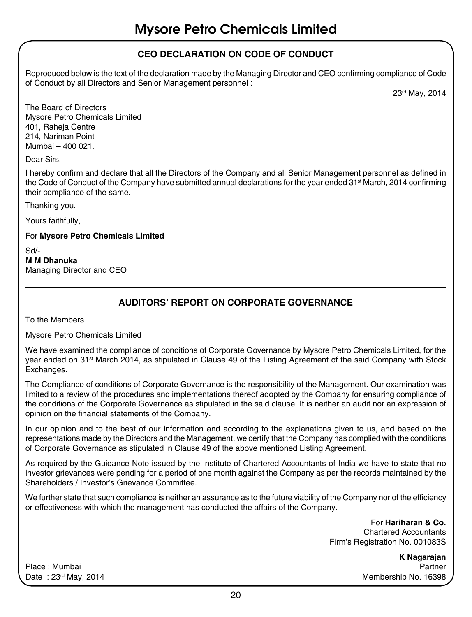### **CEO Declaration on Code of Conduct**

Reproduced below is the text of the declaration made by the Managing Director and CEO confirming compliance of Code of Conduct by all Directors and Senior Management personnel :

23rd May, 2014

The Board of Directors Mysore Petro Chemicals Limited 401, Raheja Centre 214, Nariman Point Mumbai – 400 021.

Dear Sirs,

I hereby confirm and declare that all the Directors of the Company and all Senior Management personnel as defined in the Code of Conduct of the Company have submitted annual declarations for the year ended 31<sup>st</sup> March, 2014 confirming their compliance of the same.

Thanking you.

Yours faithfully,

For **Mysore Petro Chemicals Limited**

Sd/- **M M Dhanuka**  Managing Director and CEO

### **Auditors' Report on Corporate Governance**

To the Members

Mysore Petro Chemicals Limited

We have examined the compliance of conditions of Corporate Governance by Mysore Petro Chemicals Limited, for the year ended on 31<sup>st</sup> March 2014, as stipulated in Clause 49 of the Listing Agreement of the said Company with Stock Exchanges.

The Compliance of conditions of Corporate Governance is the responsibility of the Management. Our examination was limited to a review of the procedures and implementations thereof adopted by the Company for ensuring compliance of the conditions of the Corporate Governance as stipulated in the said clause. It is neither an audit nor an expression of opinion on the financial statements of the Company.

In our opinion and to the best of our information and according to the explanations given to us, and based on the representations made by the Directors and the Management, we certify that the Company has complied with the conditions of Corporate Governance as stipulated in Clause 49 of the above mentioned Listing Agreement.

As required by the Guidance Note issued by the Institute of Chartered Accountants of India we have to state that no investor grievances were pending for a period of one month against the Company as per the records maintained by the Shareholders / Investor's Grievance Committee.

We further state that such compliance is neither an assurance as to the future viability of the Company nor of the efficiency or effectiveness with which the management has conducted the affairs of the Company.

> For **Hariharan & Co.**  Chartered Accountants Firm's Registration No. 001083S

**K Nagarajan**  Place : Mumbai Partner Date : 23<sup>rd</sup> May, 2014 Membership No. 16398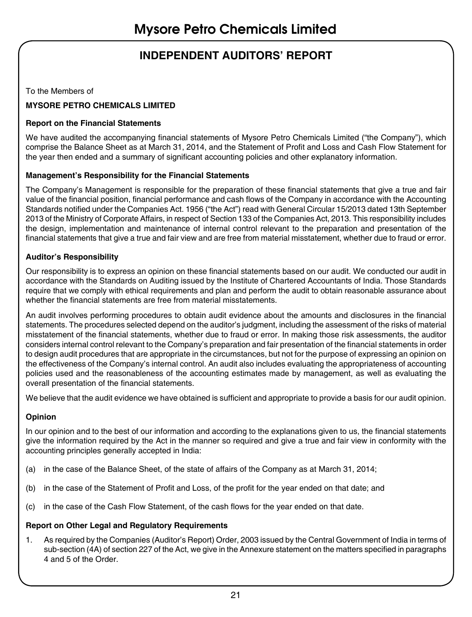### **INDEPENDENT AUDITORS' REPORT**

To the Members of

### **Mysore Petro Chemicals Limited**

### **Report on the Financial Statements**

We have audited the accompanying financial statements of Mysore Petro Chemicals Limited ("the Company"), which comprise the Balance Sheet as at March 31, 2014, and the Statement of Profit and Loss and Cash Flow Statement for the year then ended and a summary of significant accounting policies and other explanatory information.

### **Management's Responsibility for the Financial Statements**

The Company's Management is responsible for the preparation of these financial statements that give a true and fair value of the financial position, financial performance and cash flows of the Company in accordance with the Accounting Standards notified under the Companies Act. 1956 ("the Act") read with General Circular 15/2013 dated 13th September 2013 of the Ministry of Corporate Affairs, in respect of Section 133 of the Companies Act, 2013. This responsibility includes the design, implementation and maintenance of internal control relevant to the preparation and presentation of the financial statements that give a true and fair view and are free from material misstatement, whether due to fraud or error.

### **Auditor's Responsibility**

Our responsibility is to express an opinion on these financial statements based on our audit. We conducted our audit in accordance with the Standards on Auditing issued by the Institute of Chartered Accountants of India. Those Standards require that we comply with ethical requirements and plan and perform the audit to obtain reasonable assurance about whether the financial statements are free from material misstatements.

An audit involves performing procedures to obtain audit evidence about the amounts and disclosures in the financial statements. The procedures selected depend on the auditor's judgment, including the assessment of the risks of material misstatement of the financial statements, whether due to fraud or error. In making those risk assessments, the auditor considers internal control relevant to the Company's preparation and fair presentation of the financial statements in order to design audit procedures that are appropriate in the circumstances, but not for the purpose of expressing an opinion on the effectiveness of the Company's internal control. An audit also includes evaluating the appropriateness of accounting policies used and the reasonableness of the accounting estimates made by management, as well as evaluating the overall presentation of the financial statements.

We believe that the audit evidence we have obtained is sufficient and appropriate to provide a basis for our audit opinion.

### **Opinion**

In our opinion and to the best of our information and according to the explanations given to us, the financial statements give the information required by the Act in the manner so required and give a true and fair view in conformity with the accounting principles generally accepted in India:

- (a) in the case of the Balance Sheet, of the state of affairs of the Company as at March 31, 2014;
- (b) in the case of the Statement of Profit and Loss, of the profit for the year ended on that date; and
- (c) in the case of the Cash Flow Statement, of the cash flows for the year ended on that date.

#### **Report on Other Legal and Regulatory Requirements**

1. As required by the Companies (Auditor's Report) Order, 2003 issued by the Central Government of India in terms of sub-section (4A) of section 227 of the Act, we give in the Annexure statement on the matters specified in paragraphs 4 and 5 of the Order.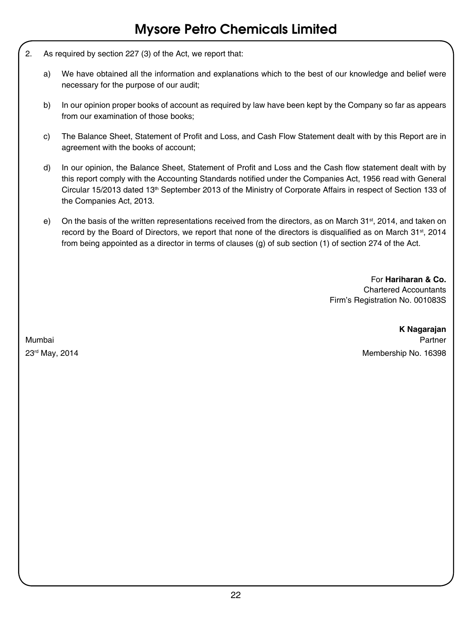- 2. As required by section 227 (3) of the Act, we report that:
	- a) We have obtained all the information and explanations which to the best of our knowledge and belief were necessary for the purpose of our audit;
	- b) In our opinion proper books of account as required by law have been kept by the Company so far as appears from our examination of those books;
	- c) The Balance Sheet, Statement of Profit and Loss, and Cash Flow Statement dealt with by this Report are in agreement with the books of account;
	- d) In our opinion, the Balance Sheet, Statement of Profit and Loss and the Cash flow statement dealt with by this report comply with the Accounting Standards notified under the Companies Act, 1956 read with General Circular 15/2013 dated 13<sup>th</sup> September 2013 of the Ministry of Corporate Affairs in respect of Section 133 of the Companies Act, 2013.
	- e) On the basis of the written representations received from the directors, as on March 31<sup>st</sup>, 2014, and taken on record by the Board of Directors, we report that none of the directors is disqualified as on March 31<sup>st</sup>, 2014 from being appointed as a director in terms of clauses (g) of sub section (1) of section 274 of the Act.

For **Hariharan & Co.** Chartered Accountants Firm's Registration No. 001083S

**K Nagarajan**  Mumbai Partner 23rd May, 2014 Membership No. 16398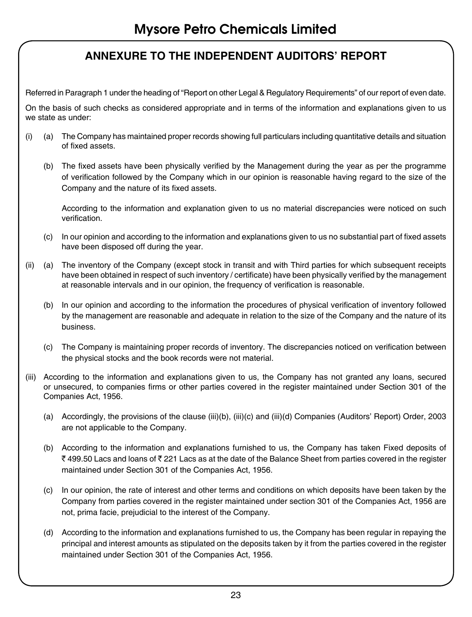### **ANNEXURE TO THE INDEPENDENT AUDITORS' REPORT**

Referred in Paragraph 1 under the heading of "Report on other Legal & Regulatory Requirements" of our report of even date.

On the basis of such checks as considered appropriate and in terms of the information and explanations given to us we state as under:

- (i) (a) The Company has maintained proper records showing full particulars including quantitative details and situation of fixed assets.
	- (b) The fixed assets have been physically verified by the Management during the year as per the programme of verification followed by the Company which in our opinion is reasonable having regard to the size of the Company and the nature of its fixed assets.

According to the information and explanation given to us no material discrepancies were noticed on such verification.

- (c) In our opinion and according to the information and explanations given to us no substantial part of fixed assets have been disposed off during the year.
- (ii) (a) The inventory of the Company (except stock in transit and with Third parties for which subsequent receipts have been obtained in respect of such inventory / certificate) have been physically verified by the management at reasonable intervals and in our opinion, the frequency of verification is reasonable.
	- (b) In our opinion and according to the information the procedures of physical verification of inventory followed by the management are reasonable and adequate in relation to the size of the Company and the nature of its business.
	- (c) The Company is maintaining proper records of inventory. The discrepancies noticed on verification between the physical stocks and the book records were not material.
- (iii) According to the information and explanations given to us, the Company has not granted any loans, secured or unsecured, to companies firms or other parties covered in the register maintained under Section 301 of the Companies Act, 1956.
	- (a) Accordingly, the provisions of the clause (iii)(b), (iii)(c) and (iii)(d) Companies (Auditors' Report) Order, 2003 are not applicable to the Company.
	- (b) According to the information and explanations furnished to us, the Company has taken Fixed deposits of ₹499.50 Lacs and loans of ₹221 Lacs as at the date of the Balance Sheet from parties covered in the register maintained under Section 301 of the Companies Act, 1956.
	- (c) In our opinion, the rate of interest and other terms and conditions on which deposits have been taken by the Company from parties covered in the register maintained under section 301 of the Companies Act, 1956 are not, prima facie, prejudicial to the interest of the Company.
	- (d) According to the information and explanations furnished to us, the Company has been regular in repaying the principal and interest amounts as stipulated on the deposits taken by it from the parties covered in the register maintained under Section 301 of the Companies Act, 1956.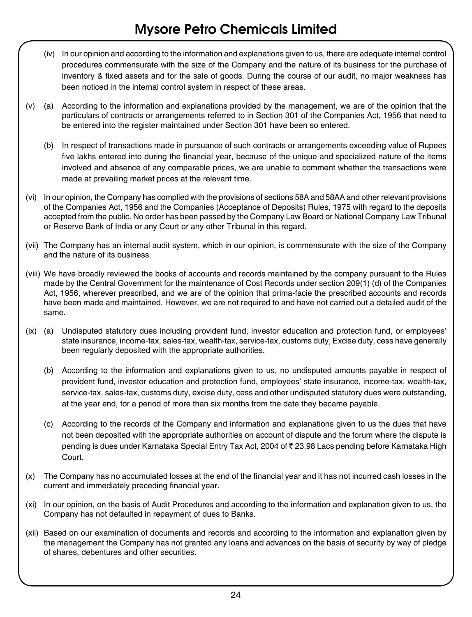- (iv) In our opinion and according to the information and explanations given to us, there are adequate internal control procedures commensurate with the size of the Company and the nature of its business for the purchase of inventory & fixed assets and for the sale of goods. During the course of our audit, no major weakness has been noticed in the internal control system in respect of these areas.
- (v) (a) According to the information and explanations provided by the management, we are of the opinion that the particulars of contracts or arrangements referred to in Section 301 of the Companies Act, 1956 that need to be entered into the register maintained under Section 301 have been so entered.
	- (b) In respect of transactions made in pursuance of such contracts or arrangements exceeding value of Rupees five lakhs entered into during the financial year, because of the unique and specialized nature of the items involved and absence of any comparable prices, we are unable to comment whether the transactions were made at prevailing market prices at the relevant time.
- (vi) In our opinion, the Company has complied with the provisions of sections 58A and 58AA and other relevant provisions of the Companies Act, 1956 and the Companies (Acceptance of Deposits) Rules, 1975 with regard to the deposits accepted from the public. No order has been passed by the Company Law Board or National Company Law Tribunal or Reserve Bank of India or any Court or any other Tribunal in this regard.
- (vii) The Company has an internal audit system, which in our opinion, is commensurate with the size of the Company and the nature of its business.
- (viii) We have broadly reviewed the books of accounts and records maintained by the company pursuant to the Rules made by the Central Government for the maintenance of Cost Records under section 209(1) (d) of the Companies Act, 1956, wherever prescribed, and we are of the opinion that prima-facie the prescribed accounts and records have been made and maintained. However, we are not required to and have not carried out a detailed audit of the same.
- (ix) (a) Undisputed statutory dues including provident fund, investor education and protection fund, or employees' state insurance, income-tax, sales-tax, wealth-tax, service-tax, customs duty, Excise duty, cess have generally been regularly deposited with the appropriate authorities.
	- (b) According to the information and explanations given to us, no undisputed amounts payable in respect of provident fund, investor education and protection fund, employees' state insurance, income-tax, wealth-tax, service-tax, sales-tax, customs duty, excise duty, cess and other undisputed statutory dues were outstanding, at the year end, for a period of more than six months from the date they became payable.
	- (c) According to the records of the Company and information and explanations given to us the dues that have not been deposited with the appropriate authorities on account of dispute and the forum where the dispute is pending is dues under Karnataka Special Entry Tax Act, 2004 of ₹ 23.98 Lacs pending before Karnataka High Court.
- (x) The Company has no accumulated losses at the end of the financial year and it has not incurred cash losses in the current and immediately preceding financial year.
- (xi) In our opinion, on the basis of Audit Procedures and according to the information and explanation given to us, the Company has not defaulted in repayment of dues to Banks.
- (xii) Based on our examination of documents and records and according to the information and explanation given by the management the Company has not granted any loans and advances on the basis of security by way of pledge of shares, debentures and other securities.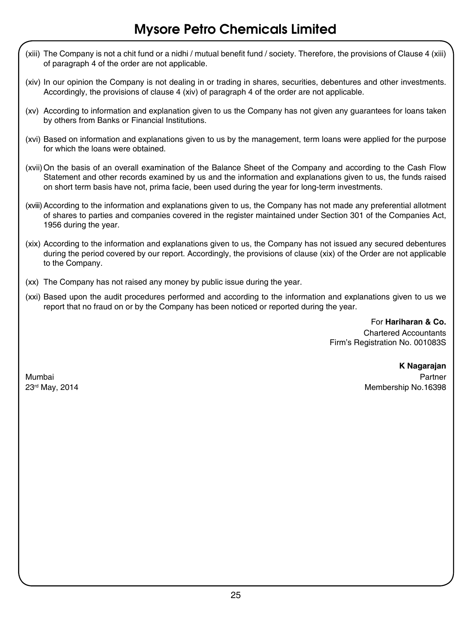- (xiii) The Company is not a chit fund or a nidhi / mutual benefit fund / society. Therefore, the provisions of Clause 4 (xiii) of paragraph 4 of the order are not applicable.
- (xiv) In our opinion the Company is not dealing in or trading in shares, securities, debentures and other investments. Accordingly, the provisions of clause 4 (xiv) of paragraph 4 of the order are not applicable.
- (xv) According to information and explanation given to us the Company has not given any guarantees for loans taken by others from Banks or Financial Institutions.
- (xvi) Based on information and explanations given to us by the management, term loans were applied for the purpose for which the loans were obtained.
- (xvii)On the basis of an overall examination of the Balance Sheet of the Company and according to the Cash Flow Statement and other records examined by us and the information and explanations given to us, the funds raised on short term basis have not, prima facie, been used during the year for long-term investments.
- (xviii)According to the information and explanations given to us, the Company has not made any preferential allotment of shares to parties and companies covered in the register maintained under Section 301 of the Companies Act, 1956 during the year.
- (xix) According to the information and explanations given to us, the Company has not issued any secured debentures during the period covered by our report. Accordingly, the provisions of clause (xix) of the Order are not applicable to the Company.
- (xx) The Company has not raised any money by public issue during the year.
- (xxi) Based upon the audit procedures performed and according to the information and explanations given to us we report that no fraud on or by the Company has been noticed or reported during the year.

For **Hariharan & Co.** Chartered Accountants Firm's Registration No. 001083S

### **K Nagarajan** Mumbai Partner

23rd May, 2014 Membership No.16398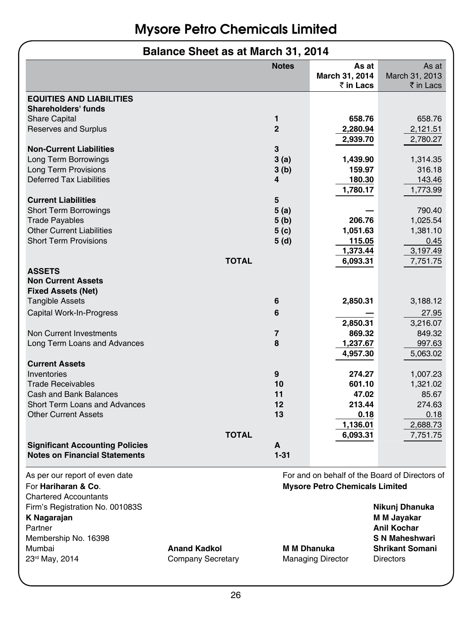### **Balance Sheet as at March 31, 2014**

|                                                        |                          | <b>Notes</b>       | As at                                 | As at                                          |
|--------------------------------------------------------|--------------------------|--------------------|---------------------------------------|------------------------------------------------|
|                                                        |                          |                    | March 31, 2014                        | March 31, 2013                                 |
|                                                        |                          |                    | ₹ in Lacs                             | ₹ in Lacs                                      |
| <b>EQUITIES AND LIABILITIES</b><br>Shareholders' funds |                          |                    |                                       |                                                |
| <b>Share Capital</b>                                   |                          | 1                  | 658.76                                | 658.76                                         |
| <b>Reserves and Surplus</b>                            |                          | $\overline{2}$     | 2,280.94                              | 2,121.51                                       |
|                                                        |                          |                    | 2,939.70                              | 2,780.27                                       |
| <b>Non-Current Liabilities</b>                         |                          | 3                  |                                       |                                                |
| Long Term Borrowings                                   |                          | 3(a)               | 1,439.90                              | 1,314.35                                       |
| <b>Long Term Provisions</b>                            |                          | 3(b)               | 159.97                                | 316.18                                         |
| Deferred Tax Liabilities                               |                          | 4                  | 180.30                                | 143.46                                         |
|                                                        |                          |                    | 1,780.17                              | 1,773.99                                       |
| <b>Current Liabilities</b>                             |                          | 5                  |                                       |                                                |
| <b>Short Term Borrowings</b>                           |                          | 5(a)               |                                       | 790.40                                         |
| <b>Trade Payables</b>                                  |                          | 5 (b)              | 206.76                                | 1,025.54                                       |
| <b>Other Current Liabilities</b>                       |                          | 5 (c)              | 1,051.63                              | 1,381.10                                       |
| <b>Short Term Provisions</b>                           |                          | 5 (d)              | 115.05                                | 0.45                                           |
|                                                        |                          |                    | 1,373.44                              | 3,197.49                                       |
|                                                        | <b>TOTAL</b>             |                    | 6,093.31                              | 7,751.75                                       |
| <b>ASSETS</b><br><b>Non Current Assets</b>             |                          |                    |                                       |                                                |
|                                                        |                          |                    |                                       |                                                |
| <b>Fixed Assets (Net)</b>                              |                          | 6                  | 2,850.31                              |                                                |
| <b>Tangible Assets</b>                                 |                          |                    |                                       | 3,188.12                                       |
| Capital Work-In-Progress                               |                          | 6                  |                                       | 27.95                                          |
|                                                        |                          |                    | 2,850.31                              | 3,216.07                                       |
| Non Current Investments                                |                          | 7<br>8             | 869.32                                | 849.32                                         |
| Long Term Loans and Advances                           |                          |                    | 1,237.67                              | 997.63                                         |
| <b>Current Assets</b>                                  |                          |                    | 4,957.30                              | 5,063.02                                       |
| Inventories                                            |                          | 9                  | 274.27                                |                                                |
| <b>Trade Receivables</b>                               |                          | 10                 | 601.10                                | 1,007.23                                       |
| Cash and Bank Balances                                 |                          | 11                 | 47.02                                 | 1,321.02<br>85.67                              |
| Short Term Loans and Advances                          |                          | 12                 | 213.44                                | 274.63                                         |
| <b>Other Current Assets</b>                            |                          | 13                 |                                       |                                                |
|                                                        |                          |                    | 0.18<br>1,136.01                      | 0.18<br>2,688.73                               |
|                                                        | <b>TOTAL</b>             |                    | 6,093.31                              | 7,751.75                                       |
| <b>Significant Accounting Policies</b>                 |                          | A                  |                                       |                                                |
| <b>Notes on Financial Statements</b>                   |                          | $1 - 31$           |                                       |                                                |
|                                                        |                          |                    |                                       |                                                |
| As per our report of even date                         |                          |                    |                                       | For and on behalf of the Board of Directors of |
| For Hariharan & Co.                                    |                          |                    | <b>Mysore Petro Chemicals Limited</b> |                                                |
| <b>Chartered Accountants</b>                           |                          |                    |                                       |                                                |
| Firm's Registration No. 001083S                        |                          |                    |                                       | Nikunj Dhanuka                                 |
| K Nagarajan                                            |                          |                    |                                       | M M Jayakar                                    |
| Partner                                                |                          |                    |                                       | <b>Anil Kochar</b>                             |
| Membership No. 16398                                   |                          |                    |                                       | <b>S N Maheshwari</b>                          |
| Mumbai                                                 | <b>Anand Kadkol</b>      | <b>M M Dhanuka</b> |                                       | <b>Shrikant Somani</b>                         |
| 23rd May, 2014                                         | <b>Company Secretary</b> |                    | <b>Managing Director</b>              | Directors                                      |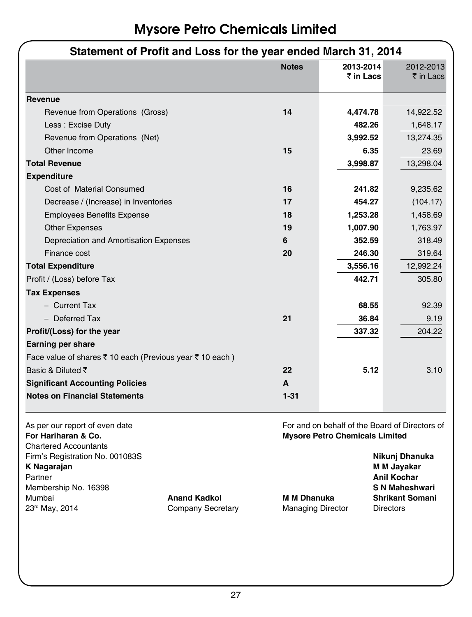| Statement of Profit and Loss for the year ended March 31, 2014                            |                                                                                         |           |                                              |  |
|-------------------------------------------------------------------------------------------|-----------------------------------------------------------------------------------------|-----------|----------------------------------------------|--|
|                                                                                           | <b>Notes</b>                                                                            | 2013-2014 | 2012-2013                                    |  |
|                                                                                           |                                                                                         | ₹ in Lacs | ₹ in Lacs                                    |  |
| Revenue                                                                                   |                                                                                         |           |                                              |  |
| Revenue from Operations (Gross)                                                           | 14                                                                                      | 4,474.78  | 14,922.52                                    |  |
| Less: Excise Duty                                                                         |                                                                                         | 482.26    | 1,648.17                                     |  |
| Revenue from Operations (Net)                                                             |                                                                                         | 3,992.52  | 13,274.35                                    |  |
| Other Income                                                                              | 15                                                                                      | 6.35      | 23.69                                        |  |
| <b>Total Revenue</b>                                                                      |                                                                                         | 3,998.87  | 13,298.04                                    |  |
| <b>Expenditure</b>                                                                        |                                                                                         |           |                                              |  |
| Cost of Material Consumed                                                                 | 16                                                                                      | 241.82    | 9,235.62                                     |  |
| Decrease / (Increase) in Inventories                                                      | 17                                                                                      | 454.27    | (104.17)                                     |  |
| <b>Employees Benefits Expense</b>                                                         | 18                                                                                      | 1,253.28  | 1,458.69                                     |  |
| <b>Other Expenses</b>                                                                     | 19                                                                                      | 1,007.90  | 1,763.97                                     |  |
| Depreciation and Amortisation Expenses                                                    | 6                                                                                       | 352.59    | 318.49                                       |  |
| Finance cost                                                                              | 20                                                                                      | 246.30    | 319.64                                       |  |
| <b>Total Expenditure</b>                                                                  |                                                                                         | 3,556.16  | 12,992.24                                    |  |
| Profit / (Loss) before Tax                                                                |                                                                                         | 442.71    | 305.80                                       |  |
| <b>Tax Expenses</b>                                                                       |                                                                                         |           |                                              |  |
| - Current Tax                                                                             |                                                                                         | 68.55     | 92.39                                        |  |
| - Deferred Tax                                                                            | 21                                                                                      | 36.84     | 9.19                                         |  |
| Profit/(Loss) for the year                                                                |                                                                                         | 337.32    | 204.22                                       |  |
| <b>Earning per share</b>                                                                  |                                                                                         |           |                                              |  |
| Face value of shares ₹ 10 each (Previous year ₹ 10 each)                                  |                                                                                         |           |                                              |  |
| Basic & Diluted ₹                                                                         | 22                                                                                      | 5.12      | 3.10                                         |  |
| <b>Significant Accounting Policies</b>                                                    | A                                                                                       |           |                                              |  |
| <b>Notes on Financial Statements</b>                                                      | $1 - 31$                                                                                |           |                                              |  |
| As per our report of even date<br>For Hariharan & Co.                                     | For and on behalf of the Board of Directors of<br><b>Mysore Petro Chemicals Limited</b> |           |                                              |  |
| <b>Chartered Accountants</b><br>Firm's Registration No. 001083S<br>K Nagarajan<br>Partner |                                                                                         |           | Nikunj Dhanuka<br>M M Jayakar<br>Anil Kochar |  |

### 27

Membership No. 16398 **S N Maheshwari** Mumbai **Anand Kadkol M M Dhanuka Shrikant Somani**

Company Secretary **Managing Director** Directors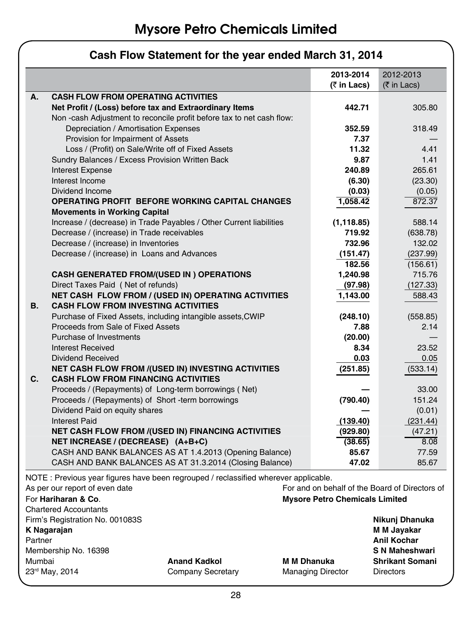|    |                                                                                           | 2013-2014      | 2012-2013                |
|----|-------------------------------------------------------------------------------------------|----------------|--------------------------|
|    |                                                                                           | (₹ in Lacs)    | $(5 \in \text{Ln}$ Lacs) |
| А. | <b>CASH FLOW FROM OPERATING ACTIVITIES</b>                                                |                |                          |
|    | Net Profit / (Loss) before tax and Extraordinary Items                                    | 442.71         | 305.80                   |
|    | Non-cash Adjustment to reconcile profit before tax to net cash flow:                      |                |                          |
|    | Depreciation / Amortisation Expenses                                                      | 352.59         | 318.49                   |
|    | Provision for Impairment of Assets                                                        | 7.37           |                          |
|    | Loss / (Profit) on Sale/Write off of Fixed Assets                                         | 11.32          | 4.41                     |
|    | Sundry Balances / Excess Provision Written Back                                           | 9.87           | 1.41                     |
|    | <b>Interest Expense</b>                                                                   | 240.89         | 265.61                   |
|    | Interest Income                                                                           | (6.30)         | (23.30)                  |
|    | Dividend Income                                                                           | (0.03)         | (0.05)                   |
|    | <b>OPERATING PROFIT BEFORE WORKING CAPITAL CHANGES</b>                                    | 1.058.42       | 872.37                   |
|    | <b>Movements in Working Capital</b>                                                       |                |                          |
|    | Increase / (decrease) in Trade Payables / Other Current liabilities                       | (1, 118.85)    | 588.14                   |
|    | Decrease / (increase) in Trade receivables                                                | 719.92         | (638.78)                 |
|    | Decrease / (increase) in Inventories                                                      | 732.96         | 132.02                   |
|    | Decrease / (increase) in Loans and Advances                                               | (151.47)       | (237.99)                 |
|    |                                                                                           | 182.56         | (156.61)                 |
|    | <b>CASH GENERATED FROM/(USED IN) OPERATIONS</b>                                           | 1,240.98       | 715.76                   |
|    | Direct Taxes Paid (Net of refunds)                                                        | (97.98)        | (127.33)                 |
|    | NET CASH FLOW FROM / (USED IN) OPERATING ACTIVITIES                                       | 1,143.00       | 588.43                   |
| В. | <b>CASH FLOW FROM INVESTING ACTIVITIES</b>                                                |                |                          |
|    | Purchase of Fixed Assets, including intangible assets, CWIP                               | (248.10)       | (558.85)                 |
|    | Proceeds from Sale of Fixed Assets                                                        | 7.88           | 2.14                     |
|    | Purchase of Investments                                                                   | (20.00)        |                          |
|    | Interest Received                                                                         | 8.34           | 23.52                    |
|    | Dividend Received                                                                         | 0.03           | 0.05                     |
|    | NET CASH FLOW FROM /(USED IN) INVESTING ACTIVITIES                                        | (251.85)       | (533.14)                 |
| C. | <b>CASH FLOW FROM FINANCING ACTIVITIES</b>                                                |                |                          |
|    | Proceeds / (Repayments) of Long-term borrowings (Net)                                     |                | 33.00                    |
|    | Proceeds / (Repayments) of Short - term borrowings                                        | (790.40)       | 151.24                   |
|    | Dividend Paid on equity shares                                                            |                | (0.01)                   |
|    | <b>Interest Paid</b>                                                                      | (139.40)       | (231.44)                 |
|    | <b>NET CASH FLOW FROM /(USED IN) FINANCING ACTIVITIES</b>                                 | (929.80)       | (47.21)                  |
|    | NET INCREASE / (DECREASE) (A+B+C)                                                         | (38.65)        | 8.08                     |
|    | CASH AND BANK BALANCES AS AT 1.4.2013 (Opening Balance)                                   | 85.67<br>47.02 | 77.59                    |
|    | CASH AND BANK BALANCES AS AT 31.3.2014 (Closing Balance)                                  |                | 85.67                    |
|    | $NOTF \cdot Previous$ vear figures have been regrouped / reclassified wherever applicable |                |                          |

### **Cash Flow Statement for the year ended March 31, 2014**

NOTE : Previous year figures have been regrouped / reclassified wherever applicable.

|                                       | For and on behalf of the Board of Directors of |                        |  |
|---------------------------------------|------------------------------------------------|------------------------|--|
| <b>Mysore Petro Chemicals Limited</b> |                                                |                        |  |
|                                       |                                                |                        |  |
|                                       |                                                | Nikuni Dhanuka         |  |
|                                       |                                                | M M Jayakar            |  |
|                                       |                                                | <b>Anil Kochar</b>     |  |
|                                       |                                                | S N Maheshwari         |  |
| <b>Anand Kadkol</b>                   | <b>M M Dhanuka</b>                             | <b>Shrikant Somani</b> |  |
| Company Secretary                     | <b>Managing Director</b>                       | <b>Directors</b>       |  |
|                                       |                                                |                        |  |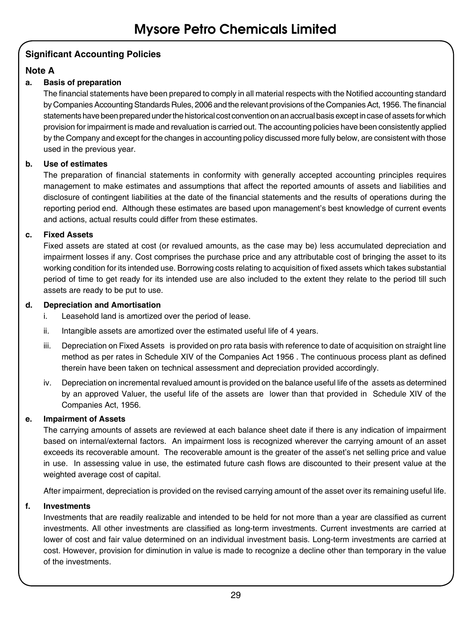### **Significant Accounting Policies**

### **Note A**

### **a. Basis of preparation**

The financial statements have been prepared to comply in all material respects with the Notified accounting standard by Companies Accounting Standards Rules, 2006 and the relevant provisions of the Companies Act, 1956. The financial statements have been prepared under the historical cost convention on an accrual basis except in case of assets for which provision for impairment is made and revaluation is carried out. The accounting policies have been consistently applied by the Company and except for the changes in accounting policy discussed more fully below, are consistent with those used in the previous year.

### **b. Use of estimates**

The preparation of financial statements in conformity with generally accepted accounting principles requires management to make estimates and assumptions that affect the reported amounts of assets and liabilities and disclosure of contingent liabilities at the date of the financial statements and the results of operations during the reporting period end. Although these estimates are based upon management's best knowledge of current events and actions, actual results could differ from these estimates.

### **c. Fixed Assets**

Fixed assets are stated at cost (or revalued amounts, as the case may be) less accumulated depreciation and impairment losses if any. Cost comprises the purchase price and any attributable cost of bringing the asset to its working condition for its intended use. Borrowing costs relating to acquisition of fixed assets which takes substantial period of time to get ready for its intended use are also included to the extent they relate to the period till such assets are ready to be put to use.

### **d. Depreciation and Amortisation**

- i. Leasehold land is amortized over the period of lease.
- ii. Intangible assets are amortized over the estimated useful life of 4 years.
- iii. Depreciation on Fixed Assets is provided on pro rata basis with reference to date of acquisition on straight line method as per rates in Schedule XIV of the Companies Act 1956 . The continuous process plant as defined therein have been taken on technical assessment and depreciation provided accordingly.
- iv. Depreciation on incremental revalued amount is provided on the balance useful life of the assets as determined by an approved Valuer, the useful life of the assets are lower than that provided in Schedule XIV of the Companies Act, 1956.

### **e. Impairment of Assets**

The carrying amounts of assets are reviewed at each balance sheet date if there is any indication of impairment based on internal/external factors. An impairment loss is recognized wherever the carrying amount of an asset exceeds its recoverable amount. The recoverable amount is the greater of the asset's net selling price and value in use. In assessing value in use, the estimated future cash flows are discounted to their present value at the weighted average cost of capital.

After impairment, depreciation is provided on the revised carrying amount of the asset over its remaining useful life.

### **f. Investments**

Investments that are readily realizable and intended to be held for not more than a year are classified as current investments. All other investments are classified as long-term investments. Current investments are carried at lower of cost and fair value determined on an individual investment basis. Long-term investments are carried at cost. However, provision for diminution in value is made to recognize a decline other than temporary in the value of the investments.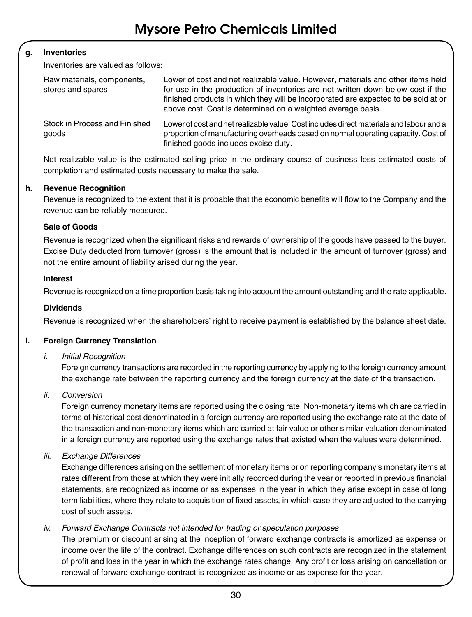### **g. Inventories**

Inventories are valued as follows:

| Raw materials, components,<br>stores and spares | Lower of cost and net realizable value. However, materials and other items held<br>for use in the production of inventories are not written down below cost if the<br>finished products in which they will be incorporated are expected to be sold at or<br>above cost. Cost is determined on a weighted average basis. |
|-------------------------------------------------|-------------------------------------------------------------------------------------------------------------------------------------------------------------------------------------------------------------------------------------------------------------------------------------------------------------------------|
| Stock in Process and Finished<br>goods          | Lower of cost and net realizable value. Cost includes direct materials and labour and a<br>proportion of manufacturing overheads based on normal operating capacity. Cost of<br>finished goods includes excise duty.                                                                                                    |

Net realizable value is the estimated selling price in the ordinary course of business less estimated costs of completion and estimated costs necessary to make the sale.

### **h. Revenue Recognition**

Revenue is recognized to the extent that it is probable that the economic benefits will flow to the Company and the revenue can be reliably measured.

### **Sale of Goods**

Revenue is recognized when the significant risks and rewards of ownership of the goods have passed to the buyer. Excise Duty deducted from turnover (gross) is the amount that is included in the amount of turnover (gross) and not the entire amount of liability arised during the year.

#### **Interest**

Revenue is recognized on a time proportion basis taking into account the amount outstanding and the rate applicable.

#### **Dividends**

Revenue is recognized when the shareholders' right to receive payment is established by the balance sheet date.

### **i. Foreign Currency Translation**

#### *i. Initial Recognition*

Foreign currency transactions are recorded in the reporting currency by applying to the foreign currency amount the exchange rate between the reporting currency and the foreign currency at the date of the transaction.

#### *ii. Conversion*

Foreign currency monetary items are reported using the closing rate. Non-monetary items which are carried in terms of historical cost denominated in a foreign currency are reported using the exchange rate at the date of the transaction and non-monetary items which are carried at fair value or other similar valuation denominated in a foreign currency are reported using the exchange rates that existed when the values were determined.

#### *iii. Exchange Differences*

Exchange differences arising on the settlement of monetary items or on reporting company's monetary items at rates different from those at which they were initially recorded during the year or reported in previous financial statements, are recognized as income or as expenses in the year in which they arise except in case of long term liabilities, where they relate to acquisition of fixed assets, in which case they are adjusted to the carrying cost of such assets.

### *iv. Forward Exchange Contracts not intended for trading or speculation purposes*

The premium or discount arising at the inception of forward exchange contracts is amortized as expense or income over the life of the contract. Exchange differences on such contracts are recognized in the statement of profit and loss in the year in which the exchange rates change. Any profit or loss arising on cancellation or renewal of forward exchange contract is recognized as income or as expense for the year.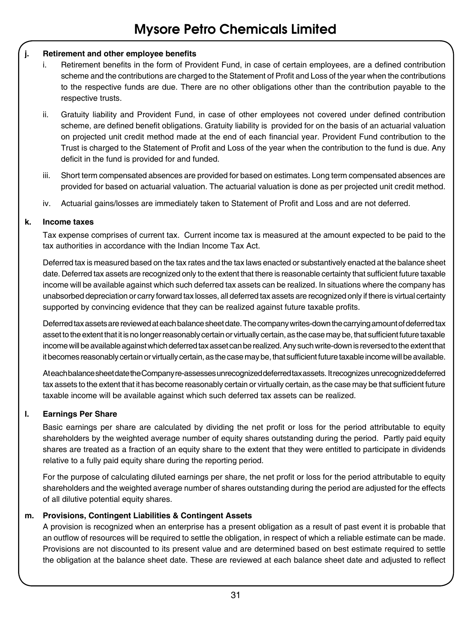### **j. Retirement and other employee benefits**

- i. Retirement benefits in the form of Provident Fund, in case of certain employees, are a defined contribution scheme and the contributions are charged to the Statement of Profit and Loss of the year when the contributions to the respective funds are due. There are no other obligations other than the contribution payable to the respective trusts.
- ii. Gratuity liability and Provident Fund, in case of other employees not covered under defined contribution scheme, are defined benefit obligations. Gratuity liability is provided for on the basis of an actuarial valuation on projected unit credit method made at the end of each financial year. Provident Fund contribution to the Trust is charged to the Statement of Profit and Loss of the year when the contribution to the fund is due. Any deficit in the fund is provided for and funded.
- iii. Short term compensated absences are provided for based on estimates. Long term compensated absences are provided for based on actuarial valuation. The actuarial valuation is done as per projected unit credit method.
- iv. Actuarial gains/losses are immediately taken to Statement of Profit and Loss and are not deferred.

### **k. Income taxes**

Tax expense comprises of current tax. Current income tax is measured at the amount expected to be paid to the tax authorities in accordance with the Indian Income Tax Act.

Deferred tax is measured based on the tax rates and the tax laws enacted or substantively enacted at the balance sheet date. Deferred tax assets are recognized only to the extent that there is reasonable certainty that sufficient future taxable income will be available against which such deferred tax assets can be realized. In situations where the company has unabsorbed depreciation or carry forward tax losses, all deferred tax assets are recognized only if there is virtual certainty supported by convincing evidence that they can be realized against future taxable profits.

Deferred tax assets are reviewed at each balance sheet date. The company writes-down the carrying amount of deferred tax asset to the extent that it is no longer reasonably certain or virtually certain, as the case may be, that sufficient future taxable income will be available against which deferred tax asset can be realized. Any such write-down is reversed to the extent that it becomes reasonably certain or virtually certain, as the case may be, that sufficient future taxable income will be available.

At each balance sheet date the Company re-assesses unrecognized deferred tax assets. It recognizes unrecognized deferred tax assets to the extent that it has become reasonably certain or virtually certain, as the case may be that sufficient future taxable income will be available against which such deferred tax assets can be realized.

### **l. Earnings Per Share**

Basic earnings per share are calculated by dividing the net profit or loss for the period attributable to equity shareholders by the weighted average number of equity shares outstanding during the period. Partly paid equity shares are treated as a fraction of an equity share to the extent that they were entitled to participate in dividends relative to a fully paid equity share during the reporting period.

For the purpose of calculating diluted earnings per share, the net profit or loss for the period attributable to equity shareholders and the weighted average number of shares outstanding during the period are adjusted for the effects of all dilutive potential equity shares.

### **m. Provisions, Contingent Liabilities & Contingent Assets**

A provision is recognized when an enterprise has a present obligation as a result of past event it is probable that an outflow of resources will be required to settle the obligation, in respect of which a reliable estimate can be made. Provisions are not discounted to its present value and are determined based on best estimate required to settle the obligation at the balance sheet date. These are reviewed at each balance sheet date and adjusted to reflect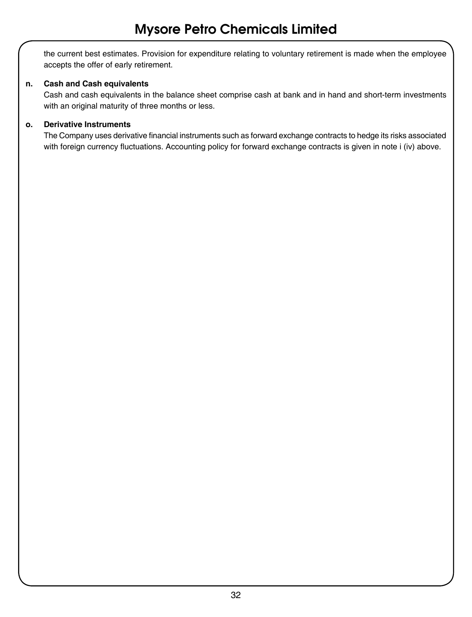the current best estimates. Provision for expenditure relating to voluntary retirement is made when the employee accepts the offer of early retirement.

### **n. Cash and Cash equivalents**

Cash and cash equivalents in the balance sheet comprise cash at bank and in hand and short-term investments with an original maturity of three months or less.

### **o. Derivative Instruments**

The Company uses derivative financial instruments such as forward exchange contracts to hedge its risks associated with foreign currency fluctuations. Accounting policy for forward exchange contracts is given in note i (iv) above.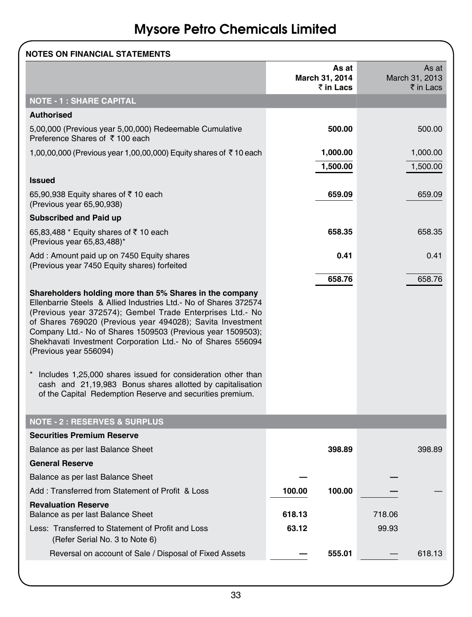| <b>NOTES ON FINANCIAL STATEMENTS</b>                                                                                                                                                                                                                                                                                                                                                                        |        |                                      |        |                                      |
|-------------------------------------------------------------------------------------------------------------------------------------------------------------------------------------------------------------------------------------------------------------------------------------------------------------------------------------------------------------------------------------------------------------|--------|--------------------------------------|--------|--------------------------------------|
|                                                                                                                                                                                                                                                                                                                                                                                                             |        | As at<br>March 31, 2014<br>₹ in Lacs |        | As at<br>March 31, 2013<br>₹ in Lacs |
| <b>NOTE - 1 : SHARE CAPITAL</b>                                                                                                                                                                                                                                                                                                                                                                             |        |                                      |        |                                      |
| <b>Authorised</b>                                                                                                                                                                                                                                                                                                                                                                                           |        |                                      |        |                                      |
| 5,00,000 (Previous year 5,00,000) Redeemable Cumulative<br>Preference Shares of ₹100 each                                                                                                                                                                                                                                                                                                                   |        | 500.00                               |        | 500.00                               |
| 1,00,00,000 (Previous year 1,00,00,000) Equity shares of ₹10 each                                                                                                                                                                                                                                                                                                                                           |        | 1,000.00                             |        | 1,000.00                             |
|                                                                                                                                                                                                                                                                                                                                                                                                             |        | 1,500.00                             |        | 1,500.00                             |
| <b>Issued</b>                                                                                                                                                                                                                                                                                                                                                                                               |        |                                      |        |                                      |
| 65,90,938 Equity shares of ₹10 each<br>(Previous year 65,90,938)                                                                                                                                                                                                                                                                                                                                            |        | 659.09                               |        | 659.09                               |
| <b>Subscribed and Paid up</b>                                                                                                                                                                                                                                                                                                                                                                               |        |                                      |        |                                      |
| 65,83,488 * Equity shares of ₹10 each<br>(Previous year 65,83,488)*                                                                                                                                                                                                                                                                                                                                         |        | 658.35                               |        | 658.35                               |
| Add: Amount paid up on 7450 Equity shares<br>(Previous year 7450 Equity shares) forfeited                                                                                                                                                                                                                                                                                                                   |        | 0.41                                 |        | 0.41                                 |
|                                                                                                                                                                                                                                                                                                                                                                                                             |        | 658.76                               |        | 658.76                               |
| Shareholders holding more than 5% Shares in the company<br>Ellenbarrie Steels & Allied Industries Ltd. No of Shares 372574<br>(Previous year 372574); Gembel Trade Enterprises Ltd. No<br>of Shares 769020 (Previous year 494028); Savita Investment<br>Company Ltd.- No of Shares 1509503 (Previous year 1509503);<br>Shekhavati Investment Corporation Ltd. No of Shares 556094<br>(Previous year 556094) |        |                                      |        |                                      |
| Includes 1,25,000 shares issued for consideration other than<br>cash and 21,19,983 Bonus shares allotted by capitalisation<br>of the Capital Redemption Reserve and securities premium.                                                                                                                                                                                                                     |        |                                      |        |                                      |
| <b>NOTE - 2 : RESERVES &amp; SURPLUS</b>                                                                                                                                                                                                                                                                                                                                                                    |        |                                      |        |                                      |
| <b>Securities Premium Reserve</b>                                                                                                                                                                                                                                                                                                                                                                           |        |                                      |        |                                      |
| Balance as per last Balance Sheet                                                                                                                                                                                                                                                                                                                                                                           |        | 398.89                               |        | 398.89                               |
| <b>General Reserve</b>                                                                                                                                                                                                                                                                                                                                                                                      |        |                                      |        |                                      |
| Balance as per last Balance Sheet                                                                                                                                                                                                                                                                                                                                                                           |        |                                      |        |                                      |
| Add: Transferred from Statement of Profit & Loss                                                                                                                                                                                                                                                                                                                                                            | 100.00 | 100.00                               |        |                                      |
| <b>Revaluation Reserve</b><br>Balance as per last Balance Sheet                                                                                                                                                                                                                                                                                                                                             | 618.13 |                                      | 718.06 |                                      |
| Less: Transferred to Statement of Profit and Loss<br>(Refer Serial No. 3 to Note 6)                                                                                                                                                                                                                                                                                                                         | 63.12  |                                      | 99.93  |                                      |
| Reversal on account of Sale / Disposal of Fixed Assets                                                                                                                                                                                                                                                                                                                                                      |        | 555.01                               |        | 618.13                               |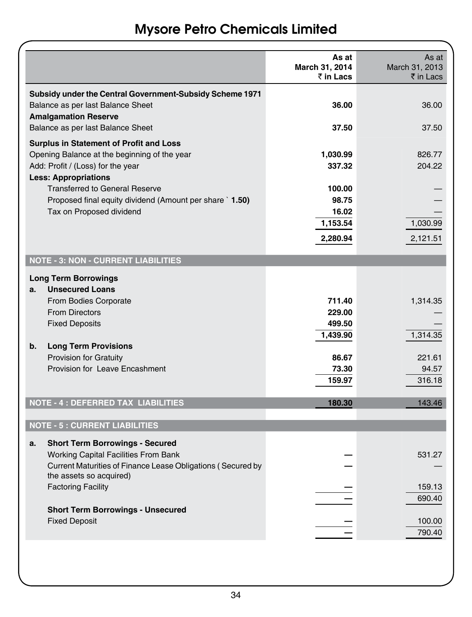|                                                                                                                                                                                                                                                |                                                             | As at<br>March 31, 2014<br>₹ in Lacs                               | As at<br>March 31, 2013<br>₹ in Lacs              |
|------------------------------------------------------------------------------------------------------------------------------------------------------------------------------------------------------------------------------------------------|-------------------------------------------------------------|--------------------------------------------------------------------|---------------------------------------------------|
| Balance as per last Balance Sheet<br><b>Amalgamation Reserve</b><br>Balance as per last Balance Sheet                                                                                                                                          | Subsidy under the Central Government-Subsidy Scheme 1971    | 36.00<br>37.50                                                     | 36.00<br>37.50                                    |
| <b>Surplus in Statement of Profit and Loss</b><br>Opening Balance at the beginning of the year<br>Add: Profit / (Loss) for the year<br><b>Less: Appropriations</b>                                                                             |                                                             | 1,030.99<br>337.32                                                 | 826.77<br>204.22                                  |
| <b>Transferred to General Reserve</b><br>Tax on Proposed dividend                                                                                                                                                                              | Proposed final equity dividend (Amount per share 1.50)      | 100.00<br>98.75<br>16.02<br>1,153.54<br>2,280.94                   | 1,030.99<br>2,121.51                              |
| <b>NOTE - 3: NON - CURRENT LIABILITIES</b>                                                                                                                                                                                                     |                                                             |                                                                    |                                                   |
| <b>Long Term Borrowings</b><br><b>Unsecured Loans</b><br>а.<br>From Bodies Corporate<br><b>From Directors</b><br><b>Fixed Deposits</b><br>b.<br><b>Long Term Provisions</b><br><b>Provision for Gratuity</b><br>Provision for Leave Encashment |                                                             | 711.40<br>229.00<br>499.50<br>1,439.90<br>86.67<br>73.30<br>159.97 | 1,314.35<br>1,314.35<br>221.61<br>94.57<br>316.18 |
| NOTE - 4 : DEFERRED TAX LIABILITIES                                                                                                                                                                                                            |                                                             | 180.30                                                             | 143.46                                            |
| <b>NOTE - 5 : CURRENT LIABILITIES</b>                                                                                                                                                                                                          |                                                             |                                                                    |                                                   |
| <b>Short Term Borrowings - Secured</b><br>a.                                                                                                                                                                                                   |                                                             |                                                                    |                                                   |
| Working Capital Facilities From Bank<br>the assets so acquired)<br><b>Factoring Facility</b><br><b>Short Term Borrowings - Unsecured</b><br><b>Fixed Deposit</b>                                                                               | Current Maturities of Finance Lease Obligations (Secured by |                                                                    | 531.27<br>159.13<br>690.40<br>100.00              |
|                                                                                                                                                                                                                                                |                                                             |                                                                    | 790.40                                            |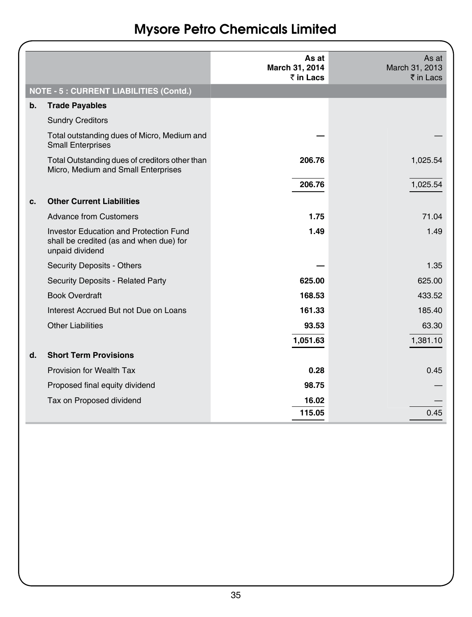|  |  | <b>Mysore Petro Chemicals Limited</b> |  |
|--|--|---------------------------------------|--|
|--|--|---------------------------------------|--|

|               |                                                                                                      | As at<br>March 31, 2014<br>$\bar{z}$ in Lacs | As at<br>March 31, 2013<br>$\bar{\bar{\tau}}$ in Lacs |
|---------------|------------------------------------------------------------------------------------------------------|----------------------------------------------|-------------------------------------------------------|
|               | <b>NOTE - 5 : CURRENT LIABILITIES (Contd.)</b>                                                       |                                              |                                                       |
| $\mathbf b$ . | <b>Trade Payables</b>                                                                                |                                              |                                                       |
|               | <b>Sundry Creditors</b>                                                                              |                                              |                                                       |
|               | Total outstanding dues of Micro, Medium and<br><b>Small Enterprises</b>                              |                                              |                                                       |
|               | Total Outstanding dues of creditors other than<br>Micro, Medium and Small Enterprises                | 206.76                                       | 1,025.54                                              |
|               |                                                                                                      | 206.76                                       | 1,025.54                                              |
| c.            | <b>Other Current Liabilities</b>                                                                     |                                              |                                                       |
|               | Advance from Customers                                                                               | 1.75                                         | 71.04                                                 |
|               | Investor Education and Protection Fund<br>shall be credited (as and when due) for<br>unpaid dividend | 1.49                                         | 1.49                                                  |
|               | <b>Security Deposits - Others</b>                                                                    |                                              | 1.35                                                  |
|               | Security Deposits - Related Party                                                                    | 625.00                                       | 625.00                                                |
|               | <b>Book Overdraft</b>                                                                                | 168.53                                       | 433.52                                                |
|               | Interest Accrued But not Due on Loans                                                                | 161.33                                       | 185.40                                                |
|               | <b>Other Liabilities</b>                                                                             | 93.53                                        | 63.30                                                 |
|               |                                                                                                      | 1,051.63                                     | 1,381.10                                              |
| d.            | <b>Short Term Provisions</b>                                                                         |                                              |                                                       |
|               | Provision for Wealth Tax                                                                             | 0.28                                         | 0.45                                                  |
|               | Proposed final equity dividend                                                                       | 98.75                                        |                                                       |
|               | Tax on Proposed dividend                                                                             | 16.02<br>115.05                              | 0.45                                                  |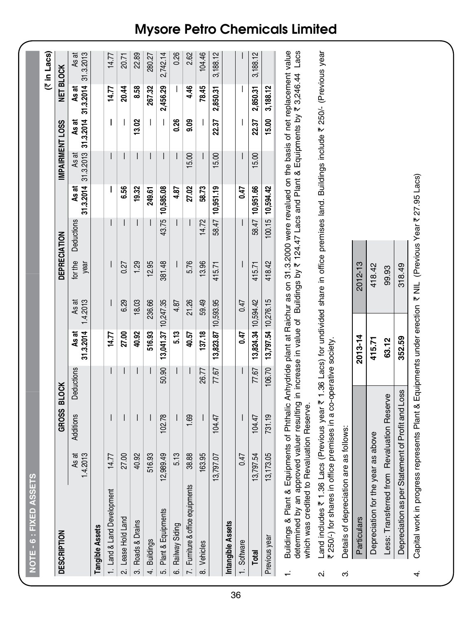|     | <b>DESCRIPTION</b>                                                                             |                   | GROSS BLOCK                                                                                                                                                                                                                                       |            |                     |                   | DEPRECIATION    |            |                    |           | IMPAIRMENT LOSS              |                    | NET BLOCK          |
|-----|------------------------------------------------------------------------------------------------|-------------------|---------------------------------------------------------------------------------------------------------------------------------------------------------------------------------------------------------------------------------------------------|------------|---------------------|-------------------|-----------------|------------|--------------------|-----------|------------------------------|--------------------|--------------------|
|     |                                                                                                | 1.4.2013<br>As at | <b>Additions</b>                                                                                                                                                                                                                                  | Deductions | 31.3.2014<br>As at  | 1,4.2013<br>As at | for the<br>year | Deductions | 31.3.2014<br>As at | ಹ<br>As i | 31.3.2013 31.3.2014<br>As at | 31.3.2014<br>As at | As at<br>31.3.2013 |
|     | Tangible Assets                                                                                |                   |                                                                                                                                                                                                                                                   |            |                     |                   |                 |            |                    |           |                              |                    |                    |
|     | ent<br>1. Land & Land Developm                                                                 | 14.77             | I                                                                                                                                                                                                                                                 | I          | 14.77               |                   |                 |            | I                  |           | I                            | 14.77              | 14.77              |
|     | 2. Lease Hold Land                                                                             | 27.00             |                                                                                                                                                                                                                                                   |            | 27.00               | 6.29              | 0.27            |            | 6.56               |           |                              | 20.44              | 20.71              |
|     | 3. Roads & Drains                                                                              | 40.92             | $\mathsf{I}$                                                                                                                                                                                                                                      | I          | 40.92               | 18.03             | 1.29            | I          | 19.32              |           | 13.02                        | 8.58               | 22.89              |
|     | 4. Buildings                                                                                   | 516.93            | $\mathsf{I}$                                                                                                                                                                                                                                      |            | 516.93              | 236.66            | 12.95           |            | 249.61             | I         | $\overline{1}$               | 267.32             | 280.27             |
| ເດ່ | Plant & Equipments                                                                             | 12,989.49         | 102.78                                                                                                                                                                                                                                            | 50.90      | 13,041.37 10,247.35 |                   | 381.48          | 43.75      | 10,585.08          |           |                              | 2,456.29           | 2,742.14           |
|     | 6. Railway Siding                                                                              | 5.13              |                                                                                                                                                                                                                                                   | I          | 5.13                | 4.87              |                 | I          | 4.87               |           | 0.26                         |                    | 0.26               |
|     | ents<br>7. Furniture & office equipm                                                           | 38.88             | 1.69                                                                                                                                                                                                                                              |            | 40.57               | 21.26             | 5.76            |            | 27.02              | 15.00     | 9.09                         | 4.46               | 2.62               |
|     | 8. Vehicles                                                                                    | 163.95            |                                                                                                                                                                                                                                                   | 26.77      | 137.18              | 59.49             | 13.96           | 14.72      | 58.73              |           |                              | 78.45              | 104.46             |
|     |                                                                                                | 13,797.07         | 104.47                                                                                                                                                                                                                                            | 77.67      | 13,823.87 10,593.95 |                   | 415.71          | 58.47      | 10,951.19          | 15.00     | 22.37                        | 2,850.31           | 3,188.12           |
|     | Intangible Assets                                                                              |                   |                                                                                                                                                                                                                                                   |            |                     |                   |                 |            |                    |           |                              |                    |                    |
|     | 1. Software                                                                                    | 0.47              |                                                                                                                                                                                                                                                   |            | 0.47                | 0.47              |                 |            | $-10$              |           |                              |                    |                    |
|     | Total                                                                                          | 13,797.54         | 104.47                                                                                                                                                                                                                                            | 77.67      | 13,824.34 10,594.42 |                   | 415.71          | 58.47      | 10,951.66          | 15.00     | 22.37                        | 2,850.31           | 3,188.12           |
|     | Previous year                                                                                  | 13,173.05         | 731.19                                                                                                                                                                                                                                            | 106.70     | 13,797.54 10,276.15 |                   | 418.42          |            | 100.15 10,594.42   |           | 15.00                        | 3,188.12           |                    |
|     | which was credited to Revaluation Reserve.<br><b>Buildings &amp; Plant</b><br>determined by an |                   | & Equipments of Phthalic Anhydride plant at Raichur as on 31.3.2000 were revalued on the basis of net replacement value<br>approved valuer resulting in increase in value of Buildings by ₹ 124.47 Lacs and Plant & Equipments by ₹ 3,246.44 Lacs |            |                     |                   |                 |            |                    |           |                              |                    |                    |
| N   | ₹ 250/-) for shares in office premises in a co-operative society.<br>Land includes ₹           |                   | .36 Lacs (Previous year ₹ 1.36 Lacs) for undivided share in office premises land. Buildings include ₹ 250/- (Previous year                                                                                                                        |            |                     |                   |                 |            |                    |           |                              |                    |                    |
| က   | Details of depreciation are as follows:                                                        |                   |                                                                                                                                                                                                                                                   |            |                     |                   |                 |            |                    |           |                              |                    |                    |
|     | Particulars                                                                                    |                   |                                                                                                                                                                                                                                                   |            | 2013-14             |                   | 2012-13         |            |                    |           |                              |                    |                    |
|     | Depreciation for                                                                               | the year as above |                                                                                                                                                                                                                                                   |            | 415.71              |                   | 418.42          |            |                    |           |                              |                    |                    |
|     | Less: Transferred from Revaluation Reserve                                                     |                   |                                                                                                                                                                                                                                                   |            | 63.12               |                   | 99.93           |            |                    |           |                              |                    |                    |
|     | Depreciation as per Statement of Profit and Loss                                               |                   |                                                                                                                                                                                                                                                   |            | 352.59              |                   | 318.49          |            |                    |           |                              |                    |                    |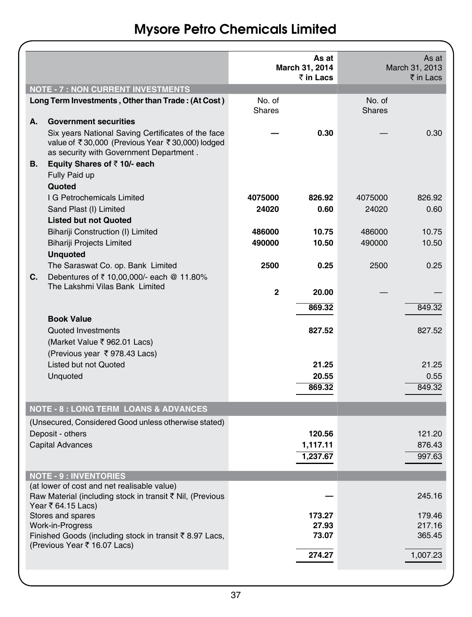|    |                                                                                                                                                  |               | As at<br>March 31, 2014<br>₹ in Lacs |               | As at<br>March 31, 2013<br>₹ in Lacs |
|----|--------------------------------------------------------------------------------------------------------------------------------------------------|---------------|--------------------------------------|---------------|--------------------------------------|
|    | <b>NOTE - 7 : NON CURRENT INVESTMENTS</b><br>Long Term Investments, Other than Trade: (At Cost)                                                  | No. of        |                                      | No. of        |                                      |
| А. | <b>Government securities</b>                                                                                                                     | <b>Shares</b> |                                      | <b>Shares</b> |                                      |
|    | Six years National Saving Certificates of the face<br>value of ₹30,000 (Previous Year ₹30,000) lodged<br>as security with Government Department. |               | 0.30                                 |               | 0.30                                 |
| В. | Equity Shares of $\bar{z}$ 10/- each<br>Fully Paid up<br>Quoted                                                                                  |               |                                      |               |                                      |
|    | I G Petrochemicals Limited                                                                                                                       | 4075000       | 826.92                               | 4075000       | 826.92                               |
|    | Sand Plast (I) Limited<br><b>Listed but not Quoted</b>                                                                                           | 24020         | 0.60                                 | 24020         | 0.60                                 |
|    | Bihariji Construction (I) Limited                                                                                                                | 486000        | 10.75                                | 486000        | 10.75                                |
|    | <b>Bihariji Projects Limited</b><br><b>Unquoted</b>                                                                                              | 490000        | 10.50                                | 490000        | 10.50                                |
| C. | The Saraswat Co. op. Bank Limited<br>Debentures of ₹ 10,00,000/- each @ 11.80%                                                                   | 2500          | 0.25                                 | 2500          | 0.25                                 |
|    | The Lakshmi Vilas Bank Limited                                                                                                                   | $\mathbf{2}$  | 20.00                                |               |                                      |
|    |                                                                                                                                                  |               | 869.32                               |               | 849.32                               |
|    | <b>Book Value</b><br>Quoted Investments<br>(Market Value ₹ 962.01 Lacs)<br>(Previous year ₹978.43 Lacs)                                          |               | 827.52                               |               | 827.52                               |
|    | Listed but not Quoted                                                                                                                            |               | 21.25                                |               | 21.25                                |
|    | Unquoted                                                                                                                                         |               | 20.55                                |               | 0.55                                 |
|    |                                                                                                                                                  |               | 869.32                               |               | 849.32                               |
|    | <b>NOTE - 8 : LONG TERM LOANS &amp; ADVANCES</b>                                                                                                 |               |                                      |               |                                      |
|    | (Unsecured, Considered Good unless otherwise stated)                                                                                             |               |                                      |               |                                      |
|    | Deposit - others<br><b>Capital Advances</b>                                                                                                      |               | 120.56<br>1,117.11                   |               | 121.20<br>876.43                     |
|    |                                                                                                                                                  |               | 1,237.67                             |               | 997.63                               |
|    |                                                                                                                                                  |               |                                      |               |                                      |
|    | <b>NOTE - 9 : INVENTORIES</b><br>(at lower of cost and net realisable value)                                                                     |               |                                      |               |                                      |
|    | Raw Material (including stock in transit ₹ Nil, (Previous<br>Year ₹ 64.15 Lacs)                                                                  |               |                                      |               | 245.16                               |
|    | Stores and spares                                                                                                                                |               | 173.27                               |               | 179.46                               |
|    | Work-in-Progress                                                                                                                                 |               | 27.93<br>73.07                       |               | 217.16<br>365.45                     |
|    | Finished Goods (including stock in transit ₹8.97 Lacs,<br>(Previous Year ₹ 16.07 Lacs)                                                           |               |                                      |               |                                      |
|    |                                                                                                                                                  |               | 274.27                               |               | 1,007.23                             |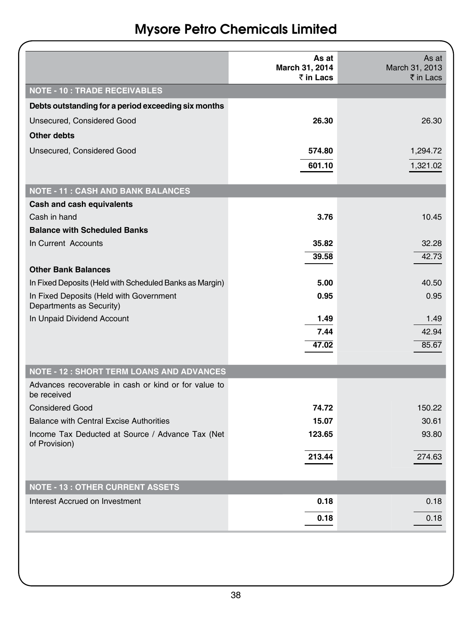|  |  | <b>Mysore Petro Chemicals Limited</b> |  |
|--|--|---------------------------------------|--|
|--|--|---------------------------------------|--|

|                                                                     | As at<br>March 31, 2014 | As at<br>March 31, 2013 |
|---------------------------------------------------------------------|-------------------------|-------------------------|
| <b>NOTE - 10 : TRADE RECEIVABLES</b>                                | ₹ in Lacs               | ₹ in Lacs               |
|                                                                     |                         |                         |
| Debts outstanding for a period exceeding six months                 |                         |                         |
| Unsecured, Considered Good                                          | 26.30                   | 26.30                   |
| Other debts                                                         |                         |                         |
| Unsecured, Considered Good                                          | 574.80                  | 1,294.72                |
|                                                                     | 601.10                  | 1,321.02                |
| <b>NOTE - 11 : CASH AND BANK BALANCES</b>                           |                         |                         |
| Cash and cash equivalents                                           |                         |                         |
| Cash in hand                                                        | 3.76                    | 10.45                   |
| <b>Balance with Scheduled Banks</b>                                 |                         |                         |
| In Current Accounts                                                 | 35.82                   | 32.28                   |
|                                                                     | 39.58                   | 42.73                   |
| <b>Other Bank Balances</b>                                          |                         |                         |
| In Fixed Deposits (Held with Scheduled Banks as Margin)             | 5.00                    | 40.50                   |
| In Fixed Deposits (Held with Government<br>Departments as Security) | 0.95                    | 0.95                    |
| In Unpaid Dividend Account                                          | 1.49                    | 1.49                    |
|                                                                     | 7.44                    | 42.94                   |
|                                                                     | 47.02                   | 85.67                   |
| <b>NOTE - 12 : SHORT TERM LOANS AND ADVANCES</b>                    |                         |                         |
| Advances recoverable in cash or kind or for value to                |                         |                         |
| be received                                                         |                         |                         |
| <b>Considered Good</b>                                              | 74.72                   | 150.22                  |
| <b>Balance with Central Excise Authorities</b>                      | 15.07                   | 30.61                   |
| Income Tax Deducted at Source / Advance Tax (Net<br>of Provision)   | 123.65                  | 93.80                   |
|                                                                     | 213.44                  | 274.63                  |
|                                                                     |                         |                         |
| <b>NOTE - 13 : OTHER CURRENT ASSETS</b>                             |                         |                         |
| Interest Accrued on Investment                                      | 0.18                    | 0.18                    |
|                                                                     | 0.18                    | 0.18                    |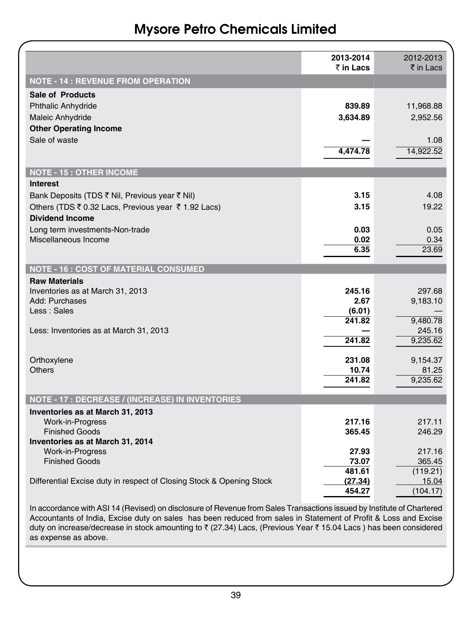|                                                                      | 2013-2014<br>₹ in Lacs | 2012-2013<br>₹ in Lacs |
|----------------------------------------------------------------------|------------------------|------------------------|
| <b>NOTE - 14 : REVENUE FROM OPERATION</b>                            |                        |                        |
| Sale of Products                                                     |                        |                        |
| <b>Phthalic Anhydride</b>                                            | 839.89                 | 11,968.88              |
| Maleic Anhydride                                                     | 3,634.89               | 2,952.56               |
| <b>Other Operating Income</b>                                        |                        |                        |
| Sale of waste                                                        |                        | 1.08                   |
|                                                                      | 4.474.78               | 14.922.52              |
| <b>NOTE - 15: OTHER INCOME</b>                                       |                        |                        |
| <b>Interest</b>                                                      |                        |                        |
| Bank Deposits (TDS ₹ Nil, Previous year ₹ Nil)                       | 3.15                   | 4.08                   |
| Others (TDS ₹ 0.32 Lacs, Previous year ₹ 1.92 Lacs)                  | 3.15                   | 19.22                  |
| <b>Dividend Income</b>                                               |                        |                        |
| Long term investments-Non-trade<br>Miscellaneous Income              | 0.03<br>0.02           | 0.05<br>0.34           |
|                                                                      | 6.35                   | 23.69                  |
|                                                                      |                        |                        |
| <b>NOTE - 16 : COST OF MATERIAL CONSUMED</b>                         |                        |                        |
| <b>Raw Materials</b>                                                 |                        |                        |
| Inventories as at March 31, 2013<br>Add: Purchases                   | 245.16<br>2.67         | 297.68<br>9,183.10     |
| Less : Sales                                                         | (6.01)                 |                        |
|                                                                      | 241.82                 | 9,480.78               |
| Less: Inventories as at March 31, 2013                               |                        | 245.16                 |
|                                                                      | 241.82                 | 9,235.62               |
| Orthoxylene                                                          | 231.08                 | 9,154.37               |
| Others                                                               | 10.74                  | 81.25                  |
|                                                                      | 241.82                 | 9.235.62               |
| NOTE - 17 : DECREASE / (INCREASE) IN INVENTORIES                     |                        |                        |
| Inventories as at March 31, 2013                                     |                        |                        |
| Work-in-Progress                                                     | 217.16                 | 217.11                 |
| <b>Finished Goods</b>                                                | 365.45                 | 246.29                 |
| Inventories as at March 31, 2014<br><b>Work-in-Progress</b>          | 27.93                  | 217.16                 |
| <b>Finished Goods</b>                                                | 73.07                  | 365.45                 |
|                                                                      | 481.61                 | (119.21)               |
| Differential Excise duty in respect of Closing Stock & Opening Stock | (27.34)                | 15.04                  |
|                                                                      | 454.27                 | (104.17)               |

In accordance with ASI 14 (Revised) on disclosure of Revenue from Sales Transactions issued by Institute of Chartered Accountants of India, Excise duty on sales has been reduced from sales in Statement of Profit & Loss and Excise duty on increase/decrease in stock amounting to ₹ (27.34) Lacs, (Previous Year ₹ 15.04 Lacs ) has been considered as expense as above.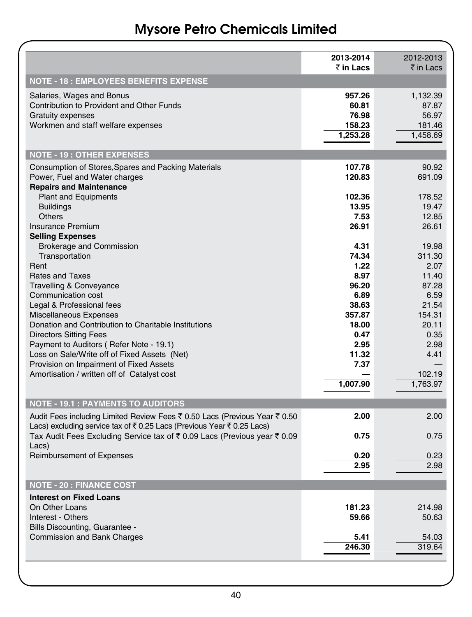|                                                                                                                                                    | 2013-2014<br>₹ in Lacs                         | 2012-2013<br>₹ in Lacs                           |
|----------------------------------------------------------------------------------------------------------------------------------------------------|------------------------------------------------|--------------------------------------------------|
| <b>NOTE - 18: EMPLOYEES BENEFITS EXPENSE</b>                                                                                                       |                                                |                                                  |
| Salaries, Wages and Bonus<br>Contribution to Provident and Other Funds<br><b>Gratuity expenses</b><br>Workmen and staff welfare expenses           | 957.26<br>60.81<br>76.98<br>158.23<br>1,253.28 | 1,132.39<br>87.87<br>56.97<br>181.46<br>1,458.69 |
| <b>NOTE - 19: OTHER EXPENSES</b>                                                                                                                   |                                                |                                                  |
| Consumption of Stores, Spares and Packing Materials<br>Power, Fuel and Water charges<br><b>Repairs and Maintenance</b>                             | 107.78<br>120.83                               | 90.92<br>691.09                                  |
| <b>Plant and Equipments</b><br><b>Buildings</b><br><b>Others</b>                                                                                   | 102.36<br>13.95<br>7.53                        | 178.52<br>19.47<br>12.85                         |
| <b>Insurance Premium</b><br><b>Selling Expenses</b>                                                                                                | 26.91                                          | 26.61                                            |
| <b>Brokerage and Commission</b><br>Transportation<br>Rent                                                                                          | 4.31<br>74.34<br>1.22                          | 19.98<br>311.30<br>2.07                          |
| <b>Rates and Taxes</b>                                                                                                                             | 8.97<br>96.20                                  | 11.40<br>87.28                                   |
| <b>Travelling &amp; Conveyance</b><br>Communication cost<br>Legal & Professional fees                                                              | 6.89<br>38.63                                  | 6.59<br>21.54                                    |
| Miscellaneous Expenses<br>Donation and Contribution to Charitable Institutions<br><b>Directors Sitting Fees</b>                                    | 357.87<br>18.00<br>0.47                        | 154.31<br>20.11<br>0.35                          |
| Payment to Auditors (Refer Note - 19.1)<br>Loss on Sale/Write off of Fixed Assets (Net)                                                            | 2.95<br>11.32                                  | 2.98<br>4.41                                     |
| Provision on Impairment of Fixed Assets<br>Amortisation / written off of Catalyst cost                                                             | 7.37                                           | 102.19                                           |
|                                                                                                                                                    | 1,007.90                                       | 1,763.97                                         |
| <b>NOTE - 19.1 : PAYMENTS TO AUDITORS</b>                                                                                                          |                                                |                                                  |
| Audit Fees including Limited Review Fees ₹ 0.50 Lacs (Previous Year ₹ 0.50<br>Lacs) excluding service tax of ₹0.25 Lacs (Previous Year ₹0.25 Lacs) | 2.00                                           | 2.00                                             |
| Tax Audit Fees Excluding Service tax of ₹ 0.09 Lacs (Previous year ₹ 0.09<br>Lacs)                                                                 | 0.75                                           | 0.75                                             |
| <b>Reimbursement of Expenses</b>                                                                                                                   | 0.20<br>2.95                                   | 0.23<br>2.98                                     |
| <b>NOTE - 20 : FINANCE COST</b>                                                                                                                    |                                                |                                                  |
| <b>Interest on Fixed Loans</b>                                                                                                                     |                                                |                                                  |
| On Other Loans<br>Interest - Others                                                                                                                | 181.23<br>59.66                                | 214.98<br>50.63                                  |
| Bills Discounting, Guarantee -<br><b>Commission and Bank Charges</b>                                                                               | 5.41<br>246.30                                 | 54.03<br>319.64                                  |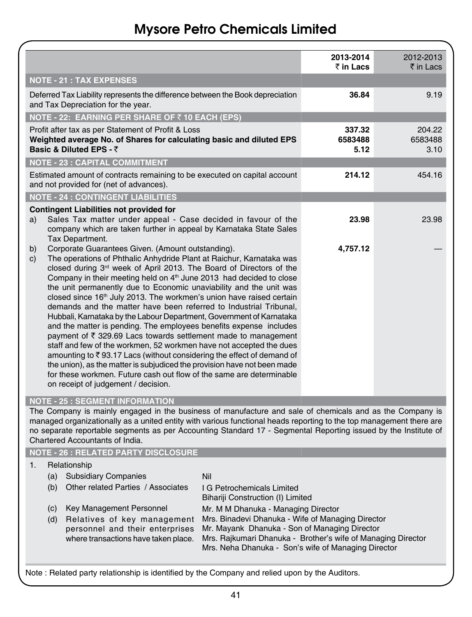|                                                                                                                                                                                                                                                                                                                                                   | ₹ in Lacs                                                                                      |
|---------------------------------------------------------------------------------------------------------------------------------------------------------------------------------------------------------------------------------------------------------------------------------------------------------------------------------------------------|------------------------------------------------------------------------------------------------|
|                                                                                                                                                                                                                                                                                                                                                   |                                                                                                |
| 36.84                                                                                                                                                                                                                                                                                                                                             | 9.19                                                                                           |
|                                                                                                                                                                                                                                                                                                                                                   |                                                                                                |
| 337.32<br>6583488<br>5.12                                                                                                                                                                                                                                                                                                                         | 204.22<br>6583488<br>3.10                                                                      |
|                                                                                                                                                                                                                                                                                                                                                   |                                                                                                |
| 214.12                                                                                                                                                                                                                                                                                                                                            | 454.16                                                                                         |
|                                                                                                                                                                                                                                                                                                                                                   |                                                                                                |
| 23.98                                                                                                                                                                                                                                                                                                                                             | 23.98                                                                                          |
| 4,757.12                                                                                                                                                                                                                                                                                                                                          |                                                                                                |
| The Company is mainly engaged in the business of manufacture and sale of chemicals and as the Company is<br>managed organizationally as a united entity with various functional heads reporting to the top management there are<br>no separate reportable segments as per Accounting Standard 17 - Segmental Reporting issued by the Institute of |                                                                                                |
|                                                                                                                                                                                                                                                                                                                                                   |                                                                                                |
| Bihariji Construction (I) Limited                                                                                                                                                                                                                                                                                                                 |                                                                                                |
| Mr. M M Dhanuka - Managing Director<br>Mrs. Binadevi Dhanuka - Wife of Managing Director<br>Mr. Mayank Dhanuka - Son of Managing Director<br>Mrs. Rajkumari Dhanuka - Brother's wife of Managing Director<br>Mrs. Neha Dhanuka - Son's wife of Managing Director                                                                                  |                                                                                                |
|                                                                                                                                                                                                                                                                                                                                                   | Note: Related party relationship is identified by the Company and relied upon by the Auditors. |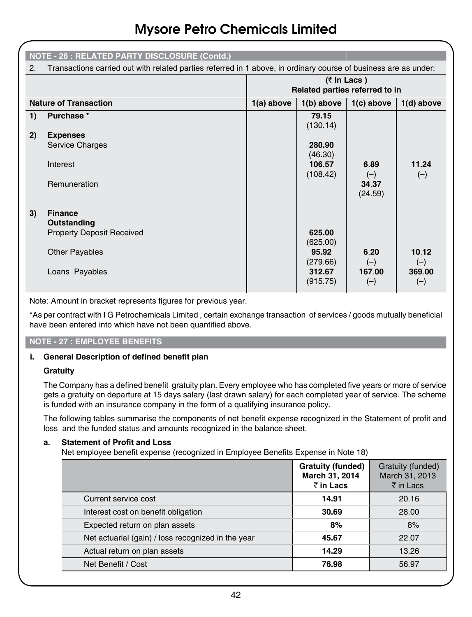|    | <b>NOTE - 26 : RELATED PARTY DISCLOSURE (Contd.)</b>                                                            |              |                                |                  |                 |
|----|-----------------------------------------------------------------------------------------------------------------|--------------|--------------------------------|------------------|-----------------|
| 2. | Transactions carried out with related parties referred in 1 above, in ordinary course of business are as under: |              |                                |                  |                 |
|    |                                                                                                                 |              | Related parties referred to in | $($ ₹ In Lacs)   |                 |
|    | <b>Nature of Transaction</b>                                                                                    | $1(a)$ above | $1(b)$ above                   | $1(c)$ above     | $1(d)$ above    |
| 1) | Purchase *                                                                                                      |              | 79.15<br>(130.14)              |                  |                 |
| 2) | <b>Expenses</b>                                                                                                 |              |                                |                  |                 |
|    | Service Charges                                                                                                 |              | 280.90<br>(46.30)              |                  |                 |
|    | Interest                                                                                                        |              | 106.57<br>(108.42)             | 6.89<br>$(-)$    | 11.24<br>$(-)$  |
|    | Remuneration                                                                                                    |              |                                | 34.37<br>(24.59) |                 |
| 3) | <b>Finance</b>                                                                                                  |              |                                |                  |                 |
|    | Outstanding                                                                                                     |              |                                |                  |                 |
|    | <b>Property Deposit Received</b>                                                                                |              | 625.00<br>(625.00)             |                  |                 |
|    | <b>Other Payables</b>                                                                                           |              | 95.92<br>(279.66)              | 6.20<br>$(-)$    | 10.12<br>$(-)$  |
|    | Loans Payables                                                                                                  |              | 312.67<br>(915.75)             | 167.00<br>$(-)$  | 369.00<br>$(-)$ |

Note: Amount in bracket represents figures for previous year.

\*As per contract with I G Petrochemicals Limited , certain exchange transaction of services / goods mutually beneficial have been entered into which have not been quantified above.

### **Note - 27 : Employee Benefits**

### **i. General Description of defined benefit plan**

### **Gratuity**

The Company has a defined benefit gratuity plan. Every employee who has completed five years or more of service gets a gratuity on departure at 15 days salary (last drawn salary) for each completed year of service. The scheme is funded with an insurance company in the form of a qualifying insurance policy.

The following tables summarise the components of net benefit expense recognized in the Statement of profit and loss and the funded status and amounts recognized in the balance sheet.

#### **a. Statement of Profit and Loss**

Net employee benefit expense (recognized in Employee Benefits Expense in Note 18)

|                                                    | <b>Gratuity (funded)</b><br>March 31, 2014<br>₹ in Lacs | Gratuity (funded)<br>March 31, 2013<br>₹ in Lacs |
|----------------------------------------------------|---------------------------------------------------------|--------------------------------------------------|
| Current service cost                               | 14.91                                                   | 20.16                                            |
| Interest cost on benefit obligation                | 30.69                                                   | 28.00                                            |
| Expected return on plan assets                     | 8%                                                      | 8%                                               |
| Net actuarial (gain) / loss recognized in the year | 45.67                                                   | 22.07                                            |
| Actual return on plan assets                       | 14.29                                                   | 13.26                                            |
| Net Benefit / Cost                                 | 76.98                                                   | 56.97                                            |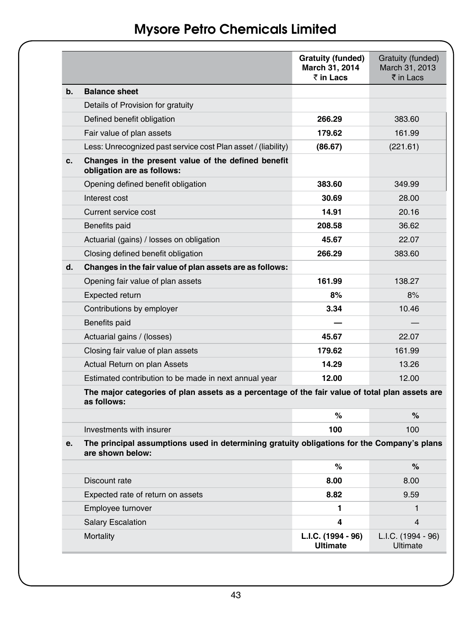|    |                                                                                                                | Gratuity (funded)<br>March 31, 2014<br>₹ in Lacs | Gratuity (funded)<br>March 31, 2013<br>$\bar{z}$ in I acs |
|----|----------------------------------------------------------------------------------------------------------------|--------------------------------------------------|-----------------------------------------------------------|
| b. | <b>Balance sheet</b>                                                                                           |                                                  |                                                           |
|    | Details of Provision for gratuity                                                                              |                                                  |                                                           |
|    | Defined benefit obligation                                                                                     | 266.29                                           | 383.60                                                    |
|    | Fair value of plan assets                                                                                      | 179.62                                           | 161.99                                                    |
|    | Less: Unrecognized past service cost Plan asset / (liability)                                                  | (86.67)                                          | (221.61)                                                  |
| c. | Changes in the present value of the defined benefit<br>obligation are as follows:                              |                                                  |                                                           |
|    | Opening defined benefit obligation                                                                             | 383.60                                           | 349.99                                                    |
|    | Interest cost                                                                                                  | 30.69                                            | 28.00                                                     |
|    | Current service cost                                                                                           | 14.91                                            | 20.16                                                     |
|    | Benefits paid                                                                                                  | 208.58                                           | 36.62                                                     |
|    | Actuarial (gains) / losses on obligation                                                                       | 45.67                                            | 22.07                                                     |
|    | Closing defined benefit obligation                                                                             | 266.29                                           | 383.60                                                    |
| d. | Changes in the fair value of plan assets are as follows:                                                       |                                                  |                                                           |
|    | Opening fair value of plan assets                                                                              | 161.99                                           | 138.27                                                    |
|    | Expected return                                                                                                | 8%                                               | 8%                                                        |
|    | Contributions by employer                                                                                      | 3.34                                             | 10.46                                                     |
|    | Benefits paid                                                                                                  |                                                  |                                                           |
|    | Actuarial gains / (losses)                                                                                     | 45.67                                            | 22.07                                                     |
|    | Closing fair value of plan assets                                                                              | 179.62                                           | 161.99                                                    |
|    | Actual Return on plan Assets                                                                                   | 14.29                                            | 13.26                                                     |
|    | Estimated contribution to be made in next annual year                                                          | 12.00                                            | 12.00                                                     |
|    | The major categories of plan assets as a percentage of the fair value of total plan assets are<br>as follows:  |                                                  |                                                           |
|    |                                                                                                                | %                                                | %                                                         |
|    | Investments with insurer                                                                                       | 100                                              | 100                                                       |
| e. | The principal assumptions used in determining gratuity obligations for the Company's plans<br>are shown below: |                                                  |                                                           |
|    |                                                                                                                | %                                                | %                                                         |
|    | Discount rate                                                                                                  | 8.00                                             | 8.00                                                      |
|    | Expected rate of return on assets                                                                              | 8.82                                             | 9.59                                                      |
|    | Employee turnover                                                                                              | 1                                                | $\mathbf{1}$                                              |
|    | <b>Salary Escalation</b>                                                                                       | 4                                                | 4                                                         |
|    | Mortality                                                                                                      | L.I.C. (1994 - 96)<br><b>Ultimate</b>            | L.I.C. (1994 - 96)<br>Ultimate                            |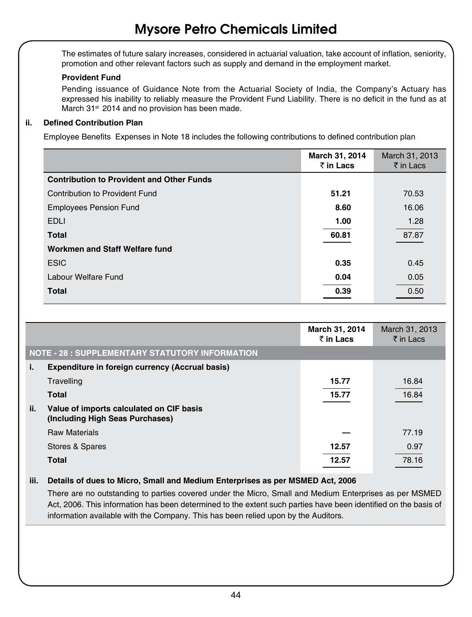The estimates of future salary increases, considered in actuarial valuation, take account of inflation, seniority, promotion and other relevant factors such as supply and demand in the employment market.

### **Provident Fund**

Pending issuance of Guidance Note from the Actuarial Society of India, the Company's Actuary has expressed his inability to reliably measure the Provident Fund Liability. There is no deficit in the fund as at March 31<sup>st</sup> 2014 and no provision has been made.

### **ii. Defined Contribution Plan**

Employee Benefits Expenses in Note 18 includes the following contributions to defined contribution plan

|                                                  | March 31, 2014<br>₹ in Lacs | March 31, 2013<br>$\bar{\tau}$ in Lacs |
|--------------------------------------------------|-----------------------------|----------------------------------------|
| <b>Contribution to Provident and Other Funds</b> |                             |                                        |
| Contribution to Provident Fund                   | 51.21                       | 70.53                                  |
| <b>Employees Pension Fund</b>                    | 8.60                        | 16.06                                  |
| <b>EDLI</b>                                      | 1.00                        | 1.28                                   |
| <b>Total</b>                                     | 60.81                       | 87.87                                  |
| Workmen and Staff Welfare fund                   |                             |                                        |
| <b>ESIC</b>                                      | 0.35                        | 0.45                                   |
| Labour Welfare Fund                              | 0.04                        | 0.05                                   |
| <b>Total</b>                                     | 0.39                        | 0.50                                   |

|     |                                                                             | March 31, 2014<br>$\bar{z}$ in Lacs | March 31, 2013<br>$\bar{\bar{\tau}}$ in Lacs |
|-----|-----------------------------------------------------------------------------|-------------------------------------|----------------------------------------------|
|     | <b>NOTE - 28 : SUPPLEMENTARY STATUTORY INFORMATION</b>                      |                                     |                                              |
| i.  | Expenditure in foreign currency (Accrual basis)                             |                                     |                                              |
|     | Travelling                                                                  | 15.77                               | 16.84                                        |
|     | <b>Total</b>                                                                | 15.77                               | 16.84                                        |
| ii. | Value of imports calculated on CIF basis<br>(Including High Seas Purchases) |                                     |                                              |
|     | <b>Raw Materials</b>                                                        |                                     | 77.19                                        |
|     | Stores & Spares                                                             | 12.57                               | 0.97                                         |
|     | <b>Total</b>                                                                | 12.57                               | 78.16                                        |

### **iii. Details of dues to Micro, Small and Medium Enterprises as per MSMED Act, 2006**

There are no outstanding to parties covered under the Micro, Small and Medium Enterprises as per MSMED Act, 2006. This information has been determined to the extent such parties have been identified on the basis of information available with the Company. This has been relied upon by the Auditors.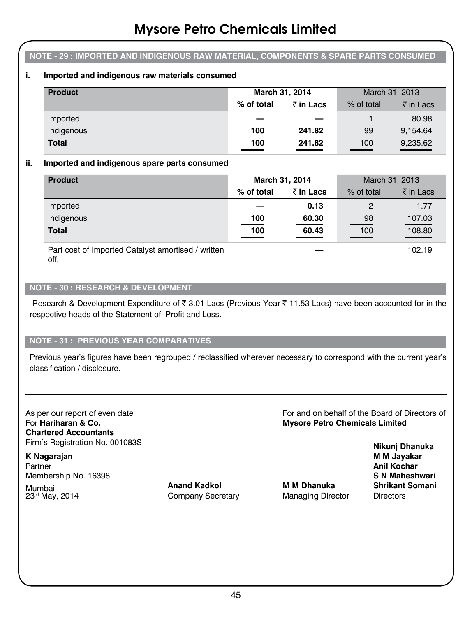### **Note - 29 : Imported and Indigenous raw material, components & spare parts consumed**

### **i. Imported and indigenous raw materials consumed**

| <b>Product</b> | March 31, 2014 |                   | March 31, 2013 |           |
|----------------|----------------|-------------------|----------------|-----------|
|                | % of total     | $\bar{z}$ in Lacs | % of total     | ₹ in Lacs |
| Imported       |                |                   |                | 80.98     |
| Indigenous     | 100            | 241.82            | 99             | 9,154.64  |
| <b>Total</b>   | 100            | 241.82            | 100            | 9,235.62  |

#### **ii. Imported and indigenous spare parts consumed**

| <b>Product</b>                                     | March 31, 2014 |           | March 31, 2013 |           |
|----------------------------------------------------|----------------|-----------|----------------|-----------|
|                                                    | % of total     | ₹ in Lacs | % of total     | ₹ in Lacs |
| Imported                                           |                | 0.13      | $\mathcal{P}$  | 1.77      |
| Indigenous                                         | 100            | 60.30     | 98             | 107.03    |
| <b>Total</b>                                       | 100            | 60.43     | 100            | 108.80    |
| Part cost of Imported Catalyst amortised / written |                |           |                | 102.19    |

off.

#### **Note - 30 : Research & Development**

Research & Development Expenditure of  $\bar{z}$  3.01 Lacs (Previous Year  $\bar{z}$  11.53 Lacs) have been accounted for in the respective heads of the Statement of Profit and Loss.

#### **Note - 31 : Previous Year Comparatives**

Previous year's figures have been regrouped / reclassified wherever necessary to correspond with the current year's classification / disclosure.

As per our report of even date For and on behalf of the Board of Directors of For **Hariharan & Co. Mysore Petro Chemicals Limited Chartered Accountants** Firm's Registration No. 001083S **Nikunj Dhanuka**

**K Nagarajan M M Jayakar** Partner **Anil Kochar** Membership No. 16398 **S N Maheshwari**

Mumbai **Anand Kadkol M M Dhanuka Shrikant Somani** 23<sup>rd</sup> May, 2014 **Company Secretary Managing Director Directors**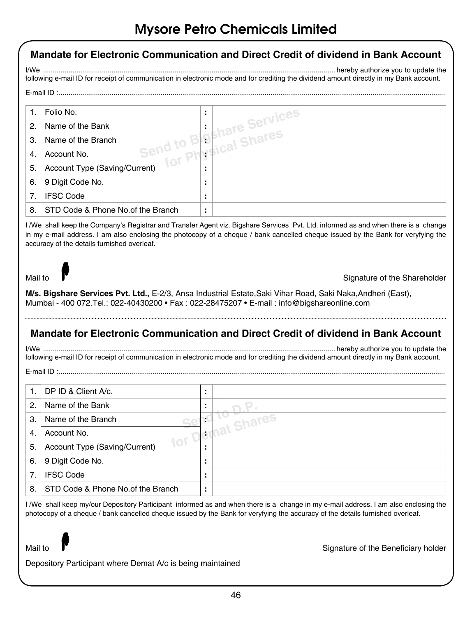|         |                                   |                      | <u>Milione Leito Atlettiičais fiitilied</u>                                                                                                                                                                                                |
|---------|-----------------------------------|----------------------|--------------------------------------------------------------------------------------------------------------------------------------------------------------------------------------------------------------------------------------------|
|         |                                   |                      | Mandate for Electronic Communication and Direct Credit of dividend in Bank Account                                                                                                                                                         |
| $I/We$  |                                   |                      |                                                                                                                                                                                                                                            |
|         |                                   |                      | following e-mail ID for receipt of communication in electronic mode and for crediting the dividend amount directly in my Bank account.                                                                                                     |
|         |                                   |                      |                                                                                                                                                                                                                                            |
| 1.      | Folio No.                         | ċ                    |                                                                                                                                                                                                                                            |
| 2.      | Name of the Bank                  |                      | are Services                                                                                                                                                                                                                               |
| 3.      | Name of the Branch                | Ç                    | Shai                                                                                                                                                                                                                                       |
| 4.      | Account No.                       | Ġ.                   |                                                                                                                                                                                                                                            |
| 5.      | Account Type (Saving/Current)     | ÷                    |                                                                                                                                                                                                                                            |
| 6.      | 9 Digit Code No.                  | t                    |                                                                                                                                                                                                                                            |
| 7.      | <b>IFSC Code</b>                  | t                    |                                                                                                                                                                                                                                            |
| 8.      | STD Code & Phone No.of the Branch | ċ                    |                                                                                                                                                                                                                                            |
| Mail to |                                   |                      | Signature of the Shareholder<br>M/s. Bigshare Services Pvt. Ltd., E-2/3, Ansa Industrial Estate, Saki Vihar Road, Saki Naka, Andheri (East),<br>Mumbai - 400 072. Tel.: 022-40430200 • Fax: 022-28475207 • E-mail: info@bigshareonline.com |
|         |                                   |                      | Mandate for Electronic Communication and Direct Credit of dividend in Bank Account                                                                                                                                                         |
|         |                                   |                      | following e-mail ID for receipt of communication in electronic mode and for crediting the dividend amount directly in my Bank account.                                                                                                     |
| 1.      | DP ID & Client A/c.               | ÷                    |                                                                                                                                                                                                                                            |
| 2.      | Name of the Bank                  |                      |                                                                                                                                                                                                                                            |
| З.      | Name of the Branch                | ť.                   |                                                                                                                                                                                                                                            |
| 4.      | Account No.                       | ÷                    |                                                                                                                                                                                                                                            |
| 5.      | Account Type (Saving/Current)     |                      |                                                                                                                                                                                                                                            |
| 6.      | 9 Digit Code No.                  |                      |                                                                                                                                                                                                                                            |
| 7.      | <b>IFSC Code</b>                  |                      |                                                                                                                                                                                                                                            |
| 8.      | STD Code & Phone No.of the Branch | $\ddot{\phantom{a}}$ |                                                                                                                                                                                                                                            |

I /We shall keep my/our Depository Participant informed as and when there is a change in my e-mail address. I am also enclosing the photocopy of a cheque / bank cancelled cheque issued by the Bank for veryfying the accuracy of the details furnished overleaf.

Mail to **T** Signature of the Beneficiary holder

Depository Participant where Demat A/c is being maintained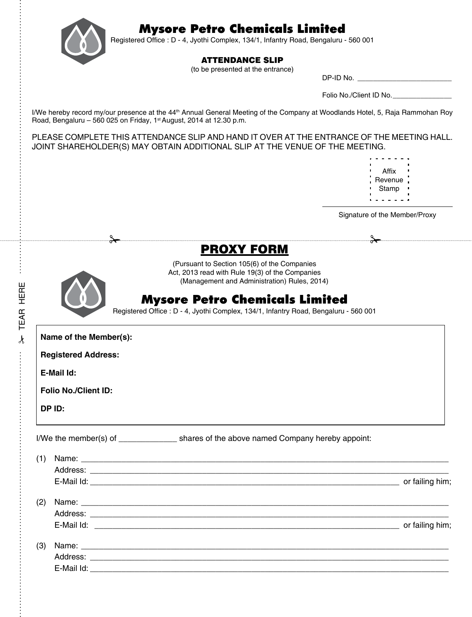



Registered Office : D - 4, Jyothi Complex, 134/1, Infantry Road, Bengaluru - 560 001

#### ATTENDANCE SLIP

(to be presented at the entrance)

| DP-ID No. |  |  |
|-----------|--|--|
|-----------|--|--|

Folio No./Client ID No.\_\_\_\_\_\_\_\_\_\_\_\_\_\_\_

I/We hereby record my/our presence at the 44<sup>th</sup> Annual General Meeting of the Company at Woodlands Hotel, 5, Raja Rammohan Roy Road, Bengaluru - 560 025 on Friday,  $1<sup>st</sup>$  August, 2014 at 12.30 p.m.

PLEASE COMPLETE THIS ATTENDANCE SLIP AND HAND IT OVER AT THE ENTRANCE OF THE MEETING HALL. JOINT SHAREHOLDER(S) MAY OBTAIN ADDITIONAL SLIP AT THE VENUE OF THE MEETING.

| г |         |   |
|---|---------|---|
| r | Affix   |   |
| r |         | г |
| r | Revenue |   |
| r | Stamp   | r |
| г |         | г |
|   |         |   |

Signature of the Member/Proxy

### PROXY FORM

(Pursuant to Section 105(6) of the Companies Act, 2013 read with Rule 19(3) of the Companies (Management and Administration) Rules, 2014)

### Mysore Petro Chemicals Limited

Registered Office : D - 4, Jyothi Complex, 134/1, Infantry Road, Bengaluru - 560 001

**Name of the Member(s):**

**Registered Address:** 

**E-Mail Id:**

**Folio No./Client ID:**

**DP ID:** 

**A TEAR HERE** TEAR here

 $\frac{1}{2}$ 

|  | I/We the member(s) of | shares of the above named Company hereby appoint: |  |
|--|-----------------------|---------------------------------------------------|--|
|--|-----------------------|---------------------------------------------------|--|

| (1) |                 |
|-----|-----------------|
|     |                 |
|     | or failing him; |
| (2) |                 |
|     |                 |
|     | or failing him; |
| (3) |                 |
|     |                 |
|     |                 |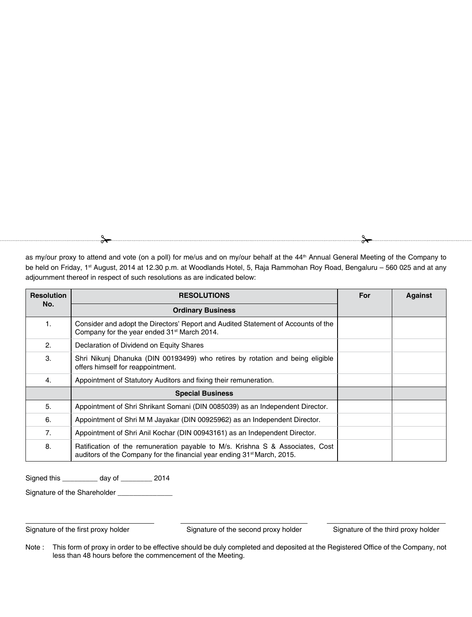as my/our proxy to attend and vote (on a poll) for me/us and on my/our behalf at the 44<sup>th</sup> Annual General Meeting of the Company to be held on Friday, 1st August, 2014 at 12.30 p.m. at Woodlands Hotel, 5, Raja Rammohan Roy Road, Bengaluru - 560 025 and at any adjournment thereof in respect of such resolutions as are indicated below:

| <b>Resolution</b> | <b>RESOLUTIONS</b>                                                                                                                                                   | For | Against |
|-------------------|----------------------------------------------------------------------------------------------------------------------------------------------------------------------|-----|---------|
| No.               | <b>Ordinary Business</b>                                                                                                                                             |     |         |
| 1.                | Consider and adopt the Directors' Report and Audited Statement of Accounts of the<br>Company for the year ended 31 <sup>st</sup> March 2014.                         |     |         |
| 2.                | Declaration of Dividend on Equity Shares                                                                                                                             |     |         |
| 3.                | Shri Nikunj Dhanuka (DIN 00193499) who retires by rotation and being eligible<br>offers himself for reappointment.                                                   |     |         |
| 4.                | Appointment of Statutory Auditors and fixing their remuneration.                                                                                                     |     |         |
|                   | <b>Special Business</b>                                                                                                                                              |     |         |
| 5.                | Appointment of Shri Shrikant Somani (DIN 0085039) as an Independent Director.                                                                                        |     |         |
| 6.                | Appointment of Shri M M Jayakar (DIN 00925962) as an Independent Director.                                                                                           |     |         |
| 7.                | Appointment of Shri Anil Kochar (DIN 00943161) as an Independent Director.                                                                                           |     |         |
| 8.                | Ratification of the remuneration payable to M/s. Krishna S & Associates, Cost<br>auditors of the Company for the financial year ending 31 <sup>st</sup> March, 2015. |     |         |

Signed this \_\_\_\_\_\_\_\_\_ day of \_\_\_\_\_\_\_\_ 2014

Signature of the Shareholder

Signature of the first proxy holder Signature of the second proxy holder Signature of the third proxy holder

Note : This form of proxy in order to be effective should be duly completed and deposited at the Registered Office of the Company, not less than 48 hours before the commencement of the Meeting.